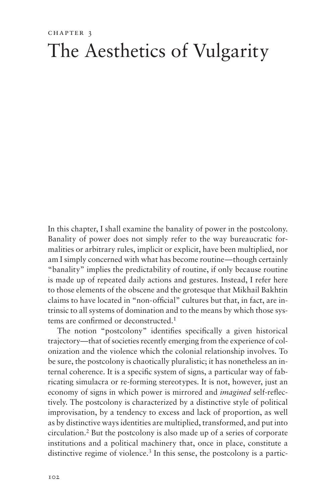# chapter 3 The Aesthetics of Vulgarity

In this chapter, I shall examine the banality of power in the postcolony. Banality of power does not simply refer to the way bureaucratic formalities or arbitrary rules, implicit or explicit, have been multiplied, nor am I simply concerned with what has become routine—though certainly "banality" implies the predictability of routine, if only because routine is made up of repeated daily actions and gestures. Instead, I refer here to those elements of the obscene and the grotesque that Mikhail Bakhtin claims to have located in "non-official" cultures but that, in fact, are intrinsic to all systems of domination and to the means by which those systems are confirmed or deconstructed.<sup>1</sup>

The notion "postcolony" identifies specifically a given historical trajectory—that of societies recently emerging from the experience of colonization and the violence which the colonial relationship involves. To be sure, the postcolony is chaotically pluralistic; it has nonetheless an internal coherence. It is a specific system of signs, a particular way of fabricating simulacra or re-forming stereotypes. It is not, however, just an economy of signs in which power is mirrored and *imagined* self-reflectively. The postcolony is characterized by a distinctive style of political improvisation, by a tendency to excess and lack of proportion, as well as by distinctive ways identities are multiplied, transformed, and put into circulation.<sup>2</sup> But the postcolony is also made up of a series of corporate institutions and a political machinery that, once in place, constitute a distinctive regime of violence.<sup>3</sup> In this sense, the postcolony is a partic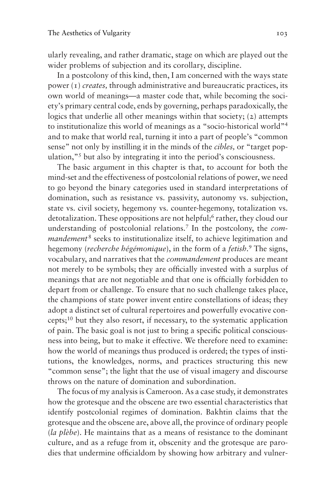ularly revealing, and rather dramatic, stage on which are played out the wider problems of subjection and its corollary, discipline.

In a postcolony of this kind, then, I am concerned with the ways state power (1) *creates,* through administrative and bureaucratic practices, its own world of meanings—a master code that, while becoming the society's primary central code, ends by governing, perhaps paradoxically, the logics that underlie all other meanings within that society; (2) attempts to institutionalize this world of meanings as a "socio-historical world"<sup>4</sup> and to make that world real, turning it into a part of people's "common sense" not only by instilling it in the minds of the *cibles,* or "target population,"<sup>5</sup> but also by integrating it into the period's consciousness.

The basic argument in this chapter is that, to account for both the mind-set and the effectiveness of postcolonial relations of power, we need to go beyond the binary categories used in standard interpretations of domination, such as resistance vs. passivity, autonomy vs. subjection, state vs. civil society, hegemony vs. counter-hegemony, totalization vs. detotalization. These oppositions are not helpful;<sup>6</sup> rather, they cloud our understanding of postcolonial relations.<sup>7</sup> In the postcolony, the *commandement*<sup>8</sup> seeks to institutionalize itself, to achieve legitimation and hegemony (*recherche hégémonique*), in the form of a *fetish.*<sup>9</sup> The signs, vocabulary, and narratives that the *commandement* produces are meant not merely to be symbols; they are officially invested with a surplus of meanings that are not negotiable and that one is officially forbidden to depart from or challenge. To ensure that no such challenge takes place, the champions of state power invent entire constellations of ideas; they adopt a distinct set of cultural repertoires and powerfully evocative concepts;<sup>10</sup> but they also resort, if necessary, to the systematic application of pain. The basic goal is not just to bring a specific political consciousness into being, but to make it effective. We therefore need to examine: how the world of meanings thus produced is ordered; the types of institutions, the knowledges, norms, and practices structuring this new "common sense"; the light that the use of visual imagery and discourse throws on the nature of domination and subordination.

The focus of my analysis is Cameroon. As a case study, it demonstrates how the grotesque and the obscene are two essential characteristics that identify postcolonial regimes of domination. Bakhtin claims that the grotesque and the obscene are, above all, the province of ordinary people (*la plèbe*). He maintains that as a means of resistance to the dominant culture, and as a refuge from it, obscenity and the grotesque are parodies that undermine officialdom by showing how arbitrary and vulner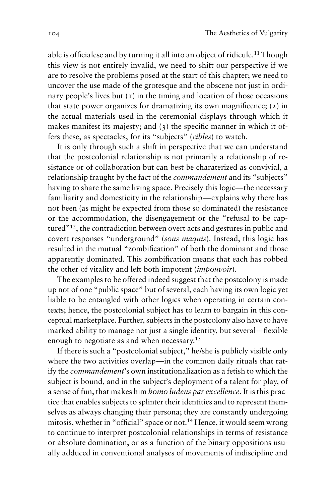able is officialese and by turning it all into an object of ridicule.<sup>11</sup> Though this view is not entirely invalid, we need to shift our perspective if we are to resolve the problems posed at the start of this chapter; we need to uncover the use made of the grotesque and the obscene not just in ordinary people's lives but  $(I)$  in the timing and location of those occasions that state power organizes for dramatizing its own magnificence; (2) in the actual materials used in the ceremonial displays through which it makes manifest its majesty; and (3) the specific manner in which it offers these, as spectacles, for its "subjects" (*cibles*) to watch.

It is only through such a shift in perspective that we can understand that the postcolonial relationship is not primarily a relationship of resistance or of collaboration but can best be charaterized as convivial, a relationship fraught by the fact of the *commandement* and its "subjects" having to share the same living space. Precisely this logic—the necessary familiarity and domesticity in the relationship—explains why there has not been (as might be expected from those so dominated) the resistance or the accommodation, the disengagement or the "refusal to be captured"<sup>12</sup>, the contradiction between overt acts and gestures in public and covert responses "underground" (*sous maquis*). Instead, this logic has resulted in the mutual "zombification" of both the dominant and those apparently dominated. This zombification means that each has robbed the other of vitality and left both impotent (*impouvoir*).

The examples to be offered indeed suggest that the postcolony is made up not of one "public space" but of several, each having its own logic yet liable to be entangled with other logics when operating in certain contexts; hence, the postcolonial subject has to learn to bargain in this conceptual marketplace. Further, subjects in the postcolony also have to have marked ability to manage not just a single identity, but several—flexible enough to negotiate as and when necessary.<sup>13</sup>

If there is such a "postcolonial subject," he/she is publicly visible only where the two activities overlap—in the common daily rituals that ratify the *commandement*'s own institutionalization as a fetish to which the subject is bound, and in the subject's deployment of a talent for play, of a sense of fun, that makes him *homo ludens par excellence.* It is this practice that enables subjects to splinter their identities and to represent themselves as always changing their persona; they are constantly undergoing mitosis, whether in "official" space or not.<sup>14</sup> Hence, it would seem wrong to continue to interpret postcolonial relationships in terms of resistance or absolute domination, or as a function of the binary oppositions usually adduced in conventional analyses of movements of indiscipline and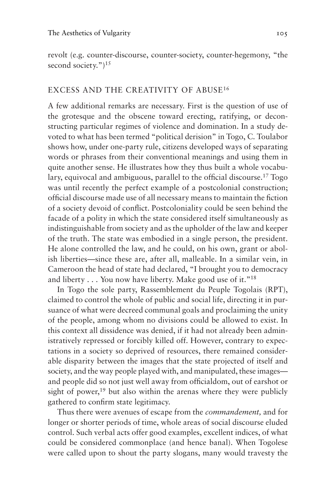revolt (e.g. counter-discourse, counter-society, counter-hegemony, "the second society.")<sup>15</sup>

# EXCESS AND THE CREATIVITY OF ABUSE<sup>16</sup>

A few additional remarks are necessary. First is the question of use of the grotesque and the obscene toward erecting, ratifying, or deconstructing particular regimes of violence and domination. In a study devoted to what has been termed "political derision" in Togo, C. Toulabor shows how, under one-party rule, citizens developed ways of separating words or phrases from their conventional meanings and using them in quite another sense. He illustrates how they thus built a whole vocabulary, equivocal and ambiguous, parallel to the official discourse.<sup>17</sup> Togo was until recently the perfect example of a postcolonial construction; official discourse made use of all necessary means to maintain the fiction of a society devoid of conflict. Postcoloniality could be seen behind the facade of a polity in which the state considered itself simultaneously as indistinguishable from society and as the upholder of the law and keeper of the truth. The state was embodied in a single person, the president. He alone controlled the law, and he could, on his own, grant or abolish liberties—since these are, after all, malleable. In a similar vein, in Cameroon the head of state had declared, "I brought you to democracy and liberty  $\ldots$  You now have liberty. Make good use of it."<sup>18</sup>

In Togo the sole party, Rassemblement du Peuple Togolais (RPT), claimed to control the whole of public and social life, directing it in pursuance of what were decreed communal goals and proclaiming the unity of the people, among whom no divisions could be allowed to exist. In this context all dissidence was denied, if it had not already been administratively repressed or forcibly killed off. However, contrary to expectations in a society so deprived of resources, there remained considerable disparity between the images that the state projected of itself and society, and the way people played with, and manipulated, these images and people did so not just well away from officialdom, out of earshot or sight of power, $19$  but also within the arenas where they were publicly gathered to confirm state legitimacy.

Thus there were avenues of escape from the *commandement,* and for longer or shorter periods of time, whole areas of social discourse eluded control. Such verbal acts offer good examples, excellent indices, of what could be considered commonplace (and hence banal). When Togolese were called upon to shout the party slogans, many would travesty the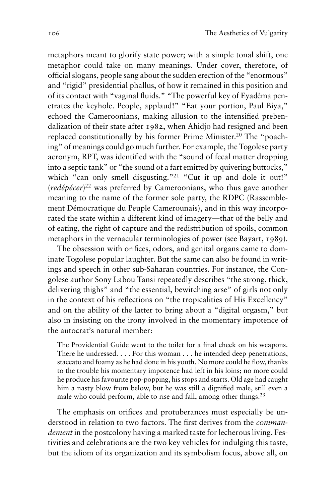metaphors meant to glorify state power; with a simple tonal shift, one metaphor could take on many meanings. Under cover, therefore, of official slogans, people sang about the sudden erection of the "enormous" and "rigid" presidential phallus, of how it remained in this position and of its contact with "vaginal fluids." "The powerful key of Eyadéma penetrates the keyhole. People, applaud!" "Eat your portion, Paul Biya," echoed the Cameroonians, making allusion to the intensified prebendalization of their state after 1982, when Ahidjo had resigned and been replaced constitutionally by his former Prime Minister.<sup>20</sup> The "poaching" of meanings could go much further. For example, the Togolese party acronym, RPT, was identified with the "sound of fecal matter dropping into a septic tank" or "the sound of a fart emitted by quivering buttocks," which "can only smell disgusting."<sup>21</sup> "Cut it up and dole it out!" (*redépécer*)<sup>22</sup> was preferred by Cameroonians, who thus gave another meaning to the name of the former sole party, the RDPC (Rassemblement Démocratique du Peuple Camerounais), and in this way incorporated the state within a different kind of imagery—that of the belly and of eating, the right of capture and the redistribution of spoils, common metaphors in the vernacular terminologies of power (see Bayart, 1989).

The obsession with orifices, odors, and genital organs came to dominate Togolese popular laughter. But the same can also be found in writings and speech in other sub-Saharan countries. For instance, the Congolese author Sony Labou Tansi repeatedly describes "the strong, thick, delivering thighs" and "the essential, bewitching arse" of girls not only in the context of his reflections on "the tropicalities of His Excellency" and on the ability of the latter to bring about a "digital orgasm," but also in insisting on the irony involved in the momentary impotence of the autocrat's natural member:

The Providential Guide went to the toilet for a final check on his weapons. There he undressed. . . . For this woman . . . he intended deep penetrations, staccato and foamy as he had done in his youth. No more could he flow, thanks to the trouble his momentary impotence had left in his loins; no more could he produce his favourite pop-popping, his stops and starts. Old age had caught him a nasty blow from below, but he was still a dignified male, still even a male who could perform, able to rise and fall, among other things.<sup>23</sup>

The emphasis on orifices and protuberances must especially be understood in relation to two factors. The first derives from the *commandement* in the postcolony having a marked taste for lecherous living. Festivities and celebrations are the two key vehicles for indulging this taste, but the idiom of its organization and its symbolism focus, above all, on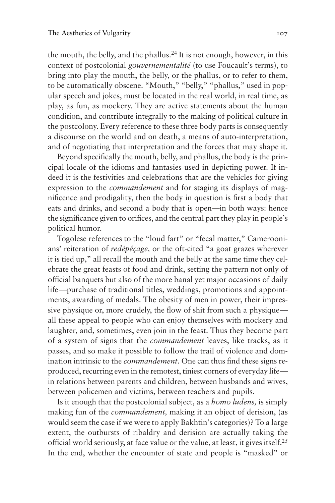the mouth, the belly, and the phallus.<sup>24</sup> It is not enough, however, in this context of postcolonial *gouvernementalité* (to use Foucault's terms), to bring into play the mouth, the belly, or the phallus, or to refer to them, to be automatically obscene. "Mouth," "belly," "phallus," used in popular speech and jokes, must be located in the real world, in real time, as play, as fun, as mockery. They are active statements about the human condition, and contribute integrally to the making of political culture in the postcolony. Every reference to these three body parts is consequently a discourse on the world and on death, a means of auto-interpretation, and of negotiating that interpretation and the forces that may shape it.

Beyond specifically the mouth, belly, and phallus, the body is the principal locale of the idioms and fantasies used in depicting power. If indeed it is the festivities and celebrations that are the vehicles for giving expression to the *commandement* and for staging its displays of magnificence and prodigality, then the body in question is first a body that eats and drinks, and second a body that is open—in both ways: hence the significance given to orifices, and the central part they play in people's political humor.

Togolese references to the "loud fart" or "fecal matter," Cameroonians' reiteration of *redépéçage,* or the oft-cited "a goat grazes wherever it is tied up," all recall the mouth and the belly at the same time they celebrate the great feasts of food and drink, setting the pattern not only of official banquets but also of the more banal yet major occasions of daily life—purchase of traditional titles, weddings, promotions and appointments, awarding of medals. The obesity of men in power, their impressive physique or, more crudely, the flow of shit from such a physique all these appeal to people who can enjoy themselves with mockery and laughter, and, sometimes, even join in the feast. Thus they become part of a system of signs that the *commandement* leaves, like tracks, as it passes, and so make it possible to follow the trail of violence and domination intrinsic to the *commandement.* One can thus find these signs reproduced, recurring even in the remotest, tiniest corners of everyday life in relations between parents and children, between husbands and wives, between policemen and victims, between teachers and pupils.

Is it enough that the postcolonial subject, as a *homo ludens,* is simply making fun of the *commandement,* making it an object of derision, (as would seem the case if we were to apply Bakhtin's categories)? To a large extent, the outbursts of ribaldry and derision are actually taking the official world seriously, at face value or the value, at least, it gives itself.<sup>25</sup> In the end, whether the encounter of state and people is "masked" or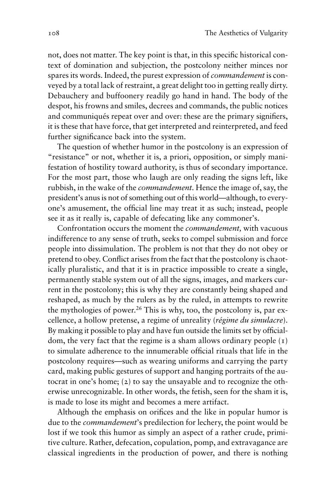not, does not matter. The key point is that, in this specific historical context of domination and subjection, the postcolony neither minces nor spares its words. Indeed, the purest expression of *commandement* is conveyed by a total lack of restraint, a great delight too in getting really dirty. Debauchery and buffoonery readily go hand in hand. The body of the despot, his frowns and smiles, decrees and commands, the public notices and communiqués repeat over and over: these are the primary signifiers, it is these that have force, that get interpreted and reinterpreted, and feed further significance back into the system.

The question of whether humor in the postcolony is an expression of "resistance" or not, whether it is, a priori, opposition, or simply manifestation of hostility toward authority, is thus of secondary importance. For the most part, those who laugh are only reading the signs left, like rubbish, in the wake of the *commandement.* Hence the image of, say, the president's anus is not of something out of this world—although, to everyone's amusement, the official line may treat it as such; instead, people see it as it really is, capable of defecating like any commoner's.

Confrontation occurs the moment the *commandement,* with vacuous indifference to any sense of truth, seeks to compel submission and force people into dissimulation. The problem is not that they do not obey or pretend to obey. Conflict arises from the fact that the postcolony is chaotically pluralistic, and that it is in practice impossible to create a single, permanently stable system out of all the signs, images, and markers current in the postcolony; this is why they are constantly being shaped and reshaped, as much by the rulers as by the ruled, in attempts to rewrite the mythologies of power.<sup>26</sup> This is why, too, the postcolony is, par excellence, a hollow pretense, a regime of unreality (*régime du simulacre*). By making it possible to play and have fun outside the limits set by officialdom, the very fact that the regime is a sham allows ordinary people  $(1)$ to simulate adherence to the innumerable official rituals that life in the postcolony requires—such as wearing uniforms and carrying the party card, making public gestures of support and hanging portraits of the autocrat in one's home; (2) to say the unsayable and to recognize the otherwise unrecognizable. In other words, the fetish, seen for the sham it is, is made to lose its might and becomes a mere artifact.

Although the emphasis on orifices and the like in popular humor is due to the *commandement*'s predilection for lechery, the point would be lost if we took this humor as simply an aspect of a rather crude, primitive culture. Rather, defecation, copulation, pomp, and extravagance are classical ingredients in the production of power, and there is nothing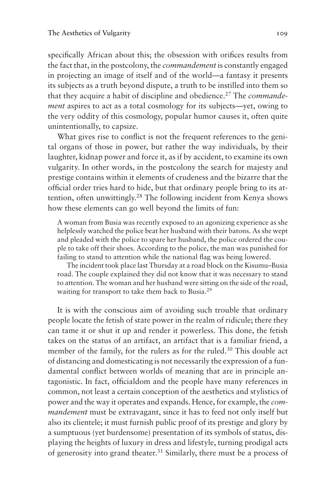specifically African about this; the obsession with orifices results from the fact that, in the postcolony, the *commandement* is constantly engaged in projecting an image of itself and of the world—a fantasy it presents its subjects as a truth beyond dispute, a truth to be instilled into them so that they acquire a habit of discipline and obedience.<sup>27</sup> The *commandement* aspires to act as a total cosmology for its subjects—yet, owing to the very oddity of this cosmology, popular humor causes it, often quite unintentionally, to capsize.

What gives rise to conflict is not the frequent references to the genital organs of those in power, but rather the way individuals, by their laughter, kidnap power and force it, as if by accident, to examine its own vulgarity. In other words, in the postcolony the search for majesty and prestige contains within it elements of crudeness and the bizarre that the official order tries hard to hide, but that ordinary people bring to its attention, often unwittingly.<sup>28</sup> The following incident from Kenya shows how these elements can go well beyond the limits of fun:

A woman from Busia was recently exposed to an agonizing experience as she helplessly watched the police beat her husband with their batons. As she wept and pleaded with the police to spare her husband, the police ordered the couple to take off their shoes. According to the police, the man was punished for failing to stand to attention while the national flag was being lowered.

The incident took place last Thursday at a road block on the Kisumu–Busia road. The couple explained they did not know that it was necessary to stand to attention. The woman and her husband were sitting on the side of the road, waiting for transport to take them back to Busia.<sup>29</sup>

It is with the conscious aim of avoiding such trouble that ordinary people locate the fetish of state power in the realm of ridicule; there they can tame it or shut it up and render it powerless. This done, the fetish takes on the status of an artifact, an artifact that is a familiar friend, a member of the family, for the rulers as for the ruled.<sup>30</sup> This double act of distancing and domesticating is not necessarily the expression of a fundamental conflict between worlds of meaning that are in principle antagonistic. In fact, officialdom and the people have many references in common, not least a certain conception of the aesthetics and stylistics of power and the way it operates and expands. Hence, for example, the *commandement* must be extravagant, since it has to feed not only itself but also its clientele; it must furnish public proof of its prestige and glory by a sumptuous (yet burdensome) presentation of its symbols of status, displaying the heights of luxury in dress and lifestyle, turning prodigal acts of generosity into grand theater.<sup>31</sup> Similarly, there must be a process of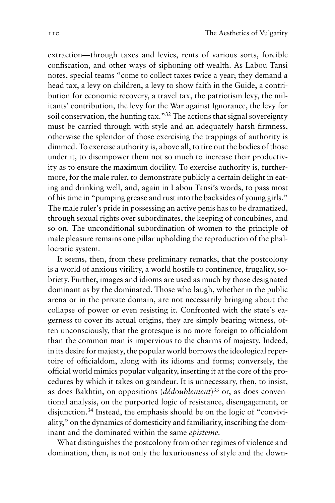extraction—through taxes and levies, rents of various sorts, forcible confiscation, and other ways of siphoning off wealth. As Labou Tansi notes, special teams "come to collect taxes twice a year; they demand a head tax, a levy on children, a levy to show faith in the Guide, a contribution for economic recovery, a travel tax, the patriotism levy, the militants' contribution, the levy for the War against Ignorance, the levy for soil conservation, the hunting tax."<sup>32</sup> The actions that signal sovereignty must be carried through with style and an adequately harsh firmness, otherwise the splendor of those exercising the trappings of authority is dimmed. To exercise authority is, above all, to tire out the bodies of those under it, to disempower them not so much to increase their productivity as to ensure the maximum docility. To exercise authority is, furthermore, for the male ruler, to demonstrate publicly a certain delight in eating and drinking well, and, again in Labou Tansi's words, to pass most of his time in "pumping grease and rust into the backsides of young girls." The male ruler's pride in possessing an active penis has to be dramatized, through sexual rights over subordinates, the keeping of concubines, and so on. The unconditional subordination of women to the principle of male pleasure remains one pillar upholding the reproduction of the phallocratic system.

It seems, then, from these preliminary remarks, that the postcolony is a world of anxious virility, a world hostile to continence, frugality, sobriety. Further, images and idioms are used as much by those designated dominant as by the dominated. Those who laugh, whether in the public arena or in the private domain, are not necessarily bringing about the collapse of power or even resisting it. Confronted with the state's eagerness to cover its actual origins, they are simply bearing witness, often unconsciously, that the grotesque is no more foreign to officialdom than the common man is impervious to the charms of majesty. Indeed, in its desire for majesty, the popular world borrows the ideological repertoire of officialdom, along with its idioms and forms; conversely, the official world mimics popular vulgarity, inserting it at the core of the procedures by which it takes on grandeur. It is unnecessary, then, to insist, as does Bakhtin, on oppositions (*dédoublement*)<sup>33</sup> or, as does conventional analysis, on the purported logic of resistance, disengagement, or disjunction.<sup>34</sup> Instead, the emphasis should be on the logic of "conviviality," on the dynamics of domesticity and familiarity, inscribing the dominant and the dominated within the same *episteme.*

What distinguishes the postcolony from other regimes of violence and domination, then, is not only the luxuriousness of style and the down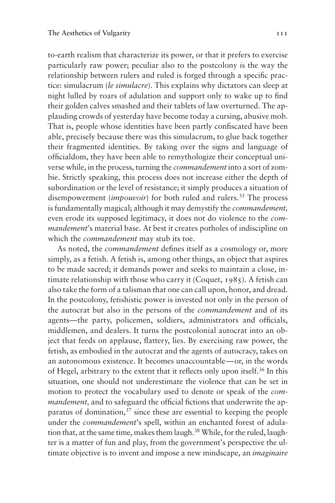to-earth realism that characterize its power, or that it prefers to exercise particularly raw power; peculiar also to the postcolony is the way the relationship between rulers and ruled is forged through a specific practice: simulacrum (*le simulacre*). This explains why dictators can sleep at night lulled by roars of adulation and support only to wake up to find their golden calves smashed and their tablets of law overturned. The applauding crowds of yesterday have become today a cursing, abusive mob. That is, people whose identities have been partly confiscated have been able, precisely because there was this simulacrum, to glue back together their fragmented identities. By taking over the signs and language of officialdom, they have been able to remythologize their conceptual universe while, in the process, turning the *commandement* into a sort of zombie. Strictly speaking, this process does not increase either the depth of subordination or the level of resistance; it simply produces a situation of disempowerment *(impouvoir)* for both ruled and rulers.<sup>35</sup> The process is fundamentally magical; although it may demystify the *commandement,* even erode its supposed legitimacy, it does not do violence to the *commandement*'s material base. At best it creates potholes of indiscipline on which the *commandement* may stub its toe.

As noted, the *commandement* defines itself as a cosmology or, more simply, as a fetish. A fetish is, among other things, an object that aspires to be made sacred; it demands power and seeks to maintain a close, intimate relationship with those who carry it (Coquet,  $1985$ ). A fetish can also take the form of a talisman that one can call upon, honor, and dread. In the postcolony, fetishistic power is invested not only in the person of the autocrat but also in the persons of the *commandement* and of its agents—the party, policemen, soldiers, administrators and officials, middlemen, and dealers. It turns the postcolonial autocrat into an object that feeds on applause, flattery, lies. By exercising raw power, the fetish, as embodied in the autocrat and the agents of autocracy, takes on an autonomous existence. It becomes unaccountable—or, in the words of Hegel, arbitrary to the extent that it reflects only upon itself.<sup>36</sup> In this situation, one should not underestimate the violence that can be set in motion to protect the vocabulary used to denote or speak of the *commandement*, and to safeguard the official fictions that underwrite the apparatus of domination,  $37$  since these are essential to keeping the people under the *commandement*'s spell, within an enchanted forest of adulation that, at the same time, makes them laugh.<sup>38</sup> While, for the ruled, laughter is a matter of fun and play, from the government's perspective the ultimate objective is to invent and impose a new mindscape, an *imaginaire*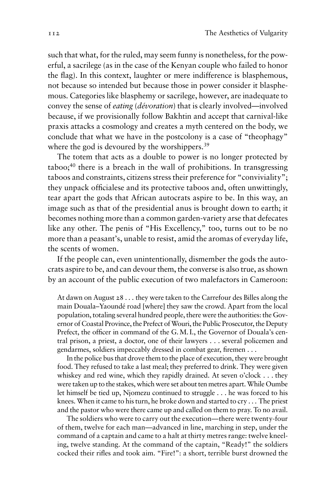such that what, for the ruled, may seem funny is nonetheless, for the powerful, a sacrilege (as in the case of the Kenyan couple who failed to honor the flag). In this context, laughter or mere indifference is blasphemous, not because so intended but because those in power consider it blasphemous. Categories like blasphemy or sacrilege, however, are inadequate to convey the sense of *eating* (*dévoration*) that is clearly involved—involved because, if we provisionally follow Bakhtin and accept that carnival-like praxis attacks a cosmology and creates a myth centered on the body, we conclude that what we have in the postcolony is a case of "theophagy" where the god is devoured by the worshippers.<sup>39</sup>

The totem that acts as a double to power is no longer protected by  $taboo;40$  there is a breach in the wall of prohibitions. In transgressing taboos and constraints, citizens stress their preference for "conviviality"; they unpack officialese and its protective taboos and, often unwittingly, tear apart the gods that African autocrats aspire to be. In this way, an image such as that of the presidential anus is brought down to earth; it becomes nothing more than a common garden-variety arse that defecates like any other. The penis of "His Excellency," too, turns out to be no more than a peasant's, unable to resist, amid the aromas of everyday life, the scents of women.

If the people can, even unintentionally, dismember the gods the autocrats aspire to be, and can devour them, the converse is also true, as shown by an account of the public execution of two malefactors in Cameroon:

At dawn on August 28 . . . they were taken to the Carrefour des Billes along the main Douala–Yaoundé road [where] they saw the crowd. Apart from the local population, totaling several hundred people, there were the authorities: the Governor of Coastal Province, the Prefect of Wouri, the Public Prosecutor, the Deputy Prefect, the officer in command of the G.M.I., the Governor of Douala's central prison, a priest, a doctor, one of their lawyers . . . several policemen and gendarmes, soldiers impeccably dressed in combat gear, firemen . . .

In the police bus that drove them to the place of execution, they were brought food. They refused to take a last meal; they preferred to drink. They were given whiskey and red wine, which they rapidly drained. At seven o'clock . . . they were taken up to the stakes, which were set about ten metres apart. While Oumbe let himself be tied up, Njomezu continued to struggle . . . he was forced to his knees. When it came to his turn, he broke down and started to cry . . . The priest and the pastor who were there came up and called on them to pray. To no avail.

The soldiers who were to carry out the execution—there were twenty-four of them, twelve for each man—advanced in line, marching in step, under the command of a captain and came to a halt at thirty metres range: twelve kneeling, twelve standing. At the command of the captain, "Ready!" the soldiers cocked their rifles and took aim. "Fire!": a short, terrible burst drowned the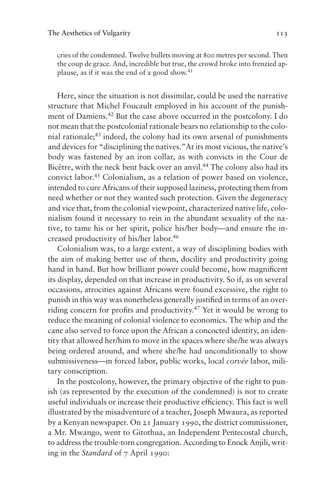cries of the condemned. Twelve bullets moving at 800 metres per second. Then the coup de grace. And, incredible but true, the crowd broke into frenzied applause, as if it was the end of a good show.<sup>41</sup>

Here, since the situation is not dissimilar, could be used the narrative structure that Michel Foucault employed in his account of the punishment of Damiens.<sup>42</sup> But the case above occurred in the postcolony. I do not mean that the postcolonial rationale bears no relationship to the colonial rationale;<sup>43</sup> indeed, the colony had its own arsenal of punishments and devices for "disciplining the natives."At its most vicious, the native's body was fastened by an iron collar, as with convicts in the Cour de Bicêtre, with the neck bent back over an anvil.<sup>44</sup> The colony also had its convict labor.<sup>45</sup> Colonialism, as a relation of power based on violence, intended to cure Africans of their supposed laziness, protecting them from need whether or not they wanted such protection. Given the degeneracy and vice that, from the colonial viewpoint, characterized native life, colonialism found it necessary to rein in the abundant sexuality of the native, to tame his or her spirit, police his/her body—and ensure the increased productivity of his/her labor.<sup>46</sup>

Colonialism was, to a large extent, a way of disciplining bodies with the aim of making better use of them, docility and productivity going hand in hand. But how brilliant power could become, how magnificent its display, depended on that increase in productivity. So if, as on several occasions, atrocities against Africans were found excessive, the right to punish in this way was nonetheless generally justified in terms of an overriding concern for profits and productivity.<sup>47</sup> Yet it would be wrong to reduce the meaning of colonial violence to economics. The whip and the cane also served to force upon the African a concocted identity, an identity that allowed her/him to move in the spaces where she/he was always being ordered around, and where she/he had unconditionally to show submissiveness—in forced labor, public works, local *corvée* labor, military conscription.

In the postcolony, however, the primary objective of the right to punish (as represented by the execution of the condemned) is not to create useful individuals or increase their productive efficiency. This fact is well illustrated by the misadventure of a teacher, Joseph Mwaura, as reported by a Kenyan newspaper. On 21 January 1990, the district commissioner, a Mr. Mwango, went to Gitothua, an Independent Pentecostal church, to address the trouble-torn congregation. According to Enock Anjili, writing in the *Standard* of 7 April 1990: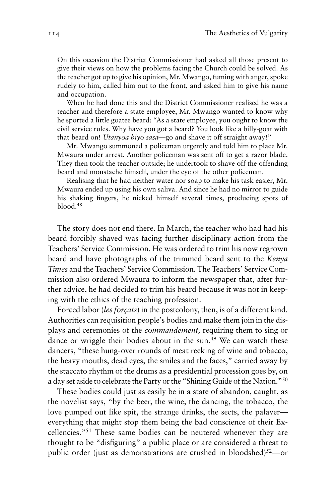On this occasion the District Commissioner had asked all those present to give their views on how the problems facing the Church could be solved. As the teacher got up to give his opinion, Mr. Mwango, fuming with anger, spoke rudely to him, called him out to the front, and asked him to give his name and occupation.

When he had done this and the District Commissioner realised he was a teacher and therefore a state employee, Mr. Mwango wanted to know why he sported a little goatee beard: "As a state employee, you ought to know the civil service rules. Why have you got a beard? You look like a billy-goat with that beard on! *Utanyoa hiyo sasa*—go and shave it off straight away!"

Mr. Mwango summoned a policeman urgently and told him to place Mr. Mwaura under arrest. Another policeman was sent off to get a razor blade. They then took the teacher outside; he undertook to shave off the offending beard and moustache himself, under the eye of the other policeman.

Realising that he had neither water nor soap to make his task easier, Mr. Mwaura ended up using his own saliva. And since he had no mirror to guide his shaking fingers, he nicked himself several times, producing spots of blood.<sup>48</sup>

The story does not end there. In March, the teacher who had had his beard forcibly shaved was facing further disciplinary action from the Teachers' Service Commission. He was ordered to trim his now regrown beard and have photographs of the trimmed beard sent to the *Kenya Times* and the Teachers' Service Commission. The Teachers' Service Commission also ordered Mwaura to inform the newspaper that, after further advice, he had decided to trim his beard because it was not in keeping with the ethics of the teaching profession.

Forced labor (*les forçats*) in the postcolony, then, is of a different kind. Authorities can requisition people's bodies and make them join in the displays and ceremonies of the *commandement,* requiring them to sing or dance or wriggle their bodies about in the sun.<sup>49</sup> We can watch these dancers, "these hung-over rounds of meat reeking of wine and tobacco, the heavy mouths, dead eyes, the smiles and the faces," carried away by the staccato rhythm of the drums as a presidential procession goes by, on a day set aside to celebrate the Party or the "Shining Guide of the Nation."<sup>50</sup>

These bodies could just as easily be in a state of abandon, caught, as the novelist says, "by the beer, the wine, the dancing, the tobacco, the love pumped out like spit, the strange drinks, the sects, the palaver everything that might stop them being the bad conscience of their Excellencies."<sup>51</sup> These same bodies can be neutered whenever they are thought to be "disfiguring" a public place or are considered a threat to public order (just as demonstrations are crushed in bloodshed)<sup>52</sup>—or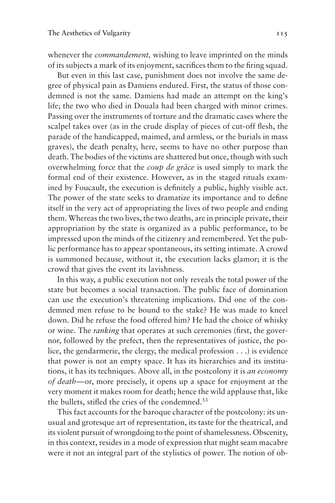whenever the *commandement,* wishing to leave imprinted on the minds of its subjects a mark of its enjoyment, sacrifices them to the firing squad.

But even in this last case, punishment does not involve the same degree of physical pain as Damiens endured. First, the status of those condemned is not the same. Damiens had made an attempt on the king's life; the two who died in Douala had been charged with minor crimes. Passing over the instruments of torture and the dramatic cases where the scalpel takes over (as in the crude display of pieces of cut-off flesh, the parade of the handicapped, maimed, and armless, or the burials in mass graves), the death penalty, here, seems to have no other purpose than death. The bodies of the victims are shattered but once, though with such overwhelming force that the *coup de grâce* is used simply to mark the formal end of their existence. However, as in the staged rituals examined by Foucault, the execution is definitely a public, highly visible act. The power of the state seeks to dramatize its importance and to define itself in the very act of appropriating the lives of two people and ending them. Whereas the two lives, the two deaths, are in principle private, their appropriation by the state is organized as a public performance, to be impressed upon the minds of the citizenry and remembered. Yet the public performance has to appear spontaneous, its setting intimate. A crowd is summoned because, without it, the execution lacks glamor; it is the crowd that gives the event its lavishness.

In this way, a public execution not only reveals the total power of the state but becomes a social transaction. The public face of domination can use the execution's threatening implications. Did one of the condemned men refuse to be bound to the stake? He was made to kneel down. Did he refuse the food offered him? He had the choice of whisky or wine. The *ranking* that operates at such ceremonies (first, the governor, followed by the prefect, then the representatives of justice, the police, the gendarmerie, the clergy, the medical profession . . .) is evidence that power is not an empty space. It has its hierarchies and its institutions, it has its techniques. Above all, in the postcolony it is *an economy of death*—or, more precisely, it opens up a space for enjoyment at the very moment it makes room for death; hence the wild applause that, like the bullets, stifled the cries of the condemned.<sup>53</sup>

This fact accounts for the baroque character of the postcolony: its unusual and grotesque art of representation, its taste for the theatrical, and its violent pursuit of wrongdoing to the point of shamelessness. Obscenity, in this context, resides in a mode of expression that might seam macabre were it not an integral part of the stylistics of power. The notion of ob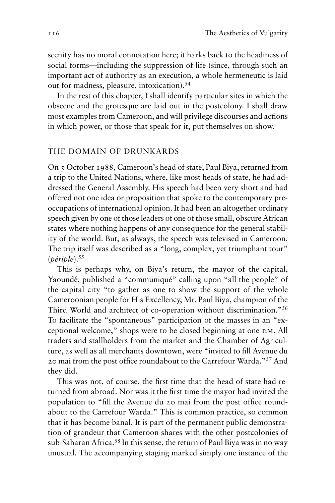scenity has no moral connotation here; it harks back to the headiness of social forms—including the suppression of life (since, through such an important act of authority as an execution, a whole hermeneutic is laid out for madness, pleasure, intoxication).<sup>54</sup>

In the rest of this chapter, I shall identify particular sites in which the obscene and the grotesque are laid out in the postcolony. I shall draw most examples from Cameroon, and will privilege discourses and actions in which power, or those that speak for it, put themselves on show.

# THE DOMAIN OF DRUNKARDS

On 5 October 1988, Cameroon's head of state, Paul Biya, returned from a trip to the United Nations, where, like most heads of state, he had addressed the General Assembly. His speech had been very short and had offered not one idea or proposition that spoke to the contemporary preoccupations of international opinion. It had been an altogether ordinary speech given by one of those leaders of one of those small, obscure African states where nothing happens of any consequence for the general stability of the world. But, as always, the speech was televised in Cameroon. The trip itself was described as a "long, complex, yet triumphant tour" (*périple*).<sup>55</sup>

This is perhaps why, on Biya's return, the mayor of the capital, Yaoundé, published a "communiqué" calling upon "all the people" of the capital city "to gather as one to show the support of the whole Cameroonian people for His Excellency, Mr. Paul Biya, champion of the Third World and architect of co-operation without discrimination."<sup>56</sup> To facilitate the "spontaneous" participation of the masses in an "exceptional welcome," shops were to be closed beginning at one p.m. All traders and stallholders from the market and the Chamber of Agriculture, as well as all merchants downtown, were "invited to fill Avenue du 20 mai from the post office roundabout to the Carrefour Warda."<sup>57</sup> And they did.

This was not, of course, the first time that the head of state had returned from abroad. Nor was it the first time the mayor had invited the population to "fill the Avenue du 20 mai from the post office roundabout to the Carrefour Warda." This is common practice, so common that it has become banal. It is part of the permanent public demonstration of grandeur that Cameroon shares with the other postcolonies of sub-Saharan Africa.<sup>58</sup> In this sense, the return of Paul Biya was in no way unusual. The accompanying staging marked simply one instance of the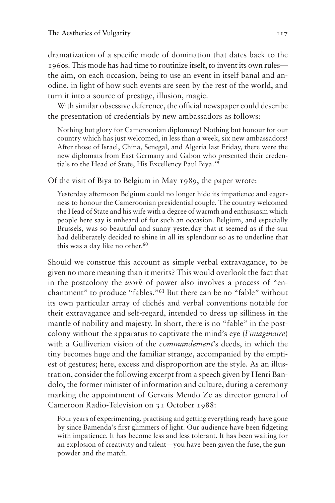dramatization of a specific mode of domination that dates back to the 1960s. This mode has had time to routinize itself, to invent its own rules the aim, on each occasion, being to use an event in itself banal and anodine, in light of how such events are seen by the rest of the world, and turn it into a source of prestige, illusion, magic.

With similar obsessive deference, the official newspaper could describe the presentation of credentials by new ambassadors as follows:

Nothing but glory for Cameroonian diplomacy! Nothing but honour for our country which has just welcomed, in less than a week, six new ambassadors! After those of Israel, China, Senegal, and Algeria last Friday, there were the new diplomats from East Germany and Gabon who presented their credentials to the Head of State, His Excellency Paul Biya.<sup>59</sup>

Of the visit of Biya to Belgium in May 1989, the paper wrote:

Yesterday afternoon Belgium could no longer hide its impatience and eagerness to honour the Cameroonian presidential couple. The country welcomed the Head of State and his wife with a degree of warmth and enthusiasm which people here say is unheard of for such an occasion. Belgium, and especially Brussels, was so beautiful and sunny yesterday that it seemed as if the sun had deliberately decided to shine in all its splendour so as to underline that this was a day like no other.<sup>60</sup>

Should we construe this account as simple verbal extravagance, to be given no more meaning than it merits? This would overlook the fact that in the postcolony the *work* of power also involves a process of "enchantment" to produce "fables."<sup>61</sup> But there can be no "fable" without its own particular array of clichés and verbal conventions notable for their extravagance and self-regard, intended to dress up silliness in the mantle of nobility and majesty. In short, there is no "fable" in the postcolony without the apparatus to captivate the mind's eye (*l'imaginaire*) with a Gulliverian vision of the *commandement*'s deeds, in which the tiny becomes huge and the familiar strange, accompanied by the emptiest of gestures; here, excess and disproportion are the style. As an illustration, consider the following excerpt from a speech given by Henri Bandolo, the former minister of information and culture, during a ceremony marking the appointment of Gervais Mendo Ze as director general of Cameroon Radio-Television on 31 October 1988:

Four years of experimenting, practising and getting everything ready have gone by since Bamenda's first glimmers of light. Our audience have been fidgeting with impatience. It has become less and less tolerant. It has been waiting for an explosion of creativity and talent—you have been given the fuse, the gunpowder and the match.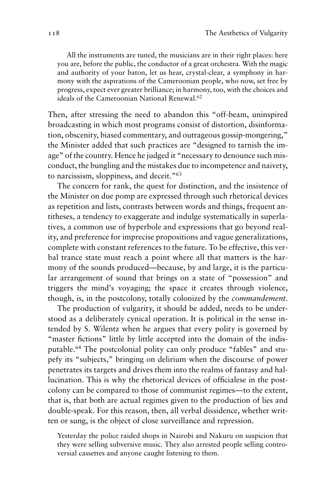All the instruments are tuned, the musicians are in their right places: here you are, before the public, the conductor of a great orchestra. With the magic and authority of your baton, let us hear, crystal-clear, a symphony in harmony with the aspirations of the Cameroonian people, who now, set free by progress, expect ever greater brilliance; in harmony, too, with the choices and ideals of the Cameroonian National Renewal.<sup>62</sup>

Then, after stressing the need to abandon this "off-beam, uninspired broadcasting in which most programs consist of distortion, disinformation, obscenity, biased commentary, and outrageous gossip-mongering," the Minister added that such practices are "designed to tarnish the image" of the country. Hence he judged it "necessary to denounce such misconduct, the bungling and the mistakes due to incompetence and naivety, to narcissism, sloppiness, and deceit."<sup>63</sup>

The concern for rank, the quest for distinction, and the insistence of the Minister on due pomp are expressed through such rhetorical devices as repetition and lists, contrasts between words and things, frequent antitheses, a tendency to exaggerate and indulge systematically in superlatives, a common use of hyperbole and expressions that go beyond reality, and preference for imprecise propositions and vague generalizations, complete with constant references to the future. To be effective, this verbal trance state must reach a point where all that matters is the harmony of the sounds produced—because, by and large, it is the particular arrangement of sound that brings on a state of "possession" and triggers the mind's voyaging; the space it creates through violence, though, is, in the postcolony, totally colonized by the *commandement.*

The production of vulgarity, it should be added, needs to be understood as a deliberately cynical operation. It is political in the sense intended by S. Wilentz when he argues that every polity is governed by "master fictions" little by little accepted into the domain of the indisputable.<sup>64</sup> The postcolonial polity can only produce "fables" and stupefy its "subjects," bringing on delirium when the discourse of power penetrates its targets and drives them into the realms of fantasy and hallucination. This is why the rhetorical devices of officialese in the postcolony can be compared to those of communist regimes—to the extent, that is, that both are actual regimes given to the production of lies and double-speak. For this reason, then, all verbal dissidence, whether written or sung, is the object of close surveillance and repression.

Yesterday the police raided shops in Nairobi and Nakuru on suspicion that they were selling subversive music. They also arrested people selling controversial cassettes and anyone caught listening to them.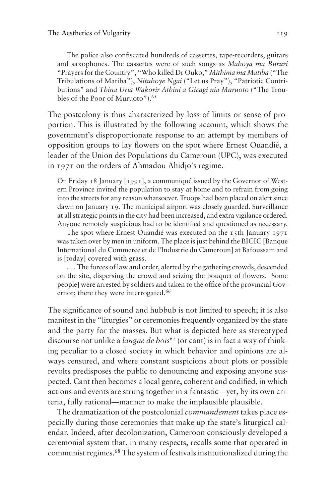The police also confiscated hundreds of cassettes, tape-recorders, guitars and saxophones. The cassettes were of such songs as *Mahoya ma Bururi* "Prayers for the Country", "Who killed Dr Ouko," *Mithima ma Matiba* ("The Tribulations of Matiba"), *Nituhoye Ngai* ("Let us Pray"), "Patriotic Contributions" and *Thina Uria Wakorir Athini a Gicagi nia Muruoto* ("The Troubles of the Poor of Muruoto").<sup>65</sup>

The postcolony is thus characterized by loss of limits or sense of proportion. This is illustrated by the following account, which shows the government's disproportionate response to an attempt by members of opposition groups to lay flowers on the spot where Ernest Ouandié, a leader of the Union des Populations du Cameroun (UPC), was executed in 1971 on the orders of Ahmadou Ahidjo's regime.

On Friday 18 January [1991], a communiqué issued by the Governor of Western Province invited the population to stay at home and to refrain from going into the streets for any reason whatsoever. Troops had been placed on alert since dawn on January 19. The municipal airport was closely guarded. Surveillance at all strategic points in the city had been increased, and extra vigilance ordered. Anyone remotely suspicious had to be identified and questioned as necessary.

The spot where Ernest Ouandié was executed on the 15th January 1971 was taken over by men in uniform. The place is just behind the BICIC [Banque International du Commerce et de l'Industrie du Cameroun] at Bafoussam and is [today] covered with grass.

. . . The forces of law and order, alerted by the gathering crowds, descended on the site, dispersing the crowd and seizing the bouquet of flowers. [Some people] were arrested by soldiers and taken to the office of the provincial Governor; there they were interrogated.<sup>66</sup>

The significance of sound and hubbub is not limited to speech; it is also manifest in the "liturgies" or ceremonies frequently organized by the state and the party for the masses. But what is depicted here as stereotyped discourse not unlike a *langue de bois*<sup>67</sup> (or cant) is in fact a way of thinking peculiar to a closed society in which behavior and opinions are always censured, and where constant suspicions about plots or possible revolts predisposes the public to denouncing and exposing anyone suspected. Cant then becomes a local genre, coherent and codified, in which actions and events are strung together in a fantastic—yet, by its own criteria, fully rational—manner to make the implausible plausible.

The dramatization of the postcolonial *commandement* takes place especially during those ceremonies that make up the state's liturgical calendar. Indeed, after decolonization, Cameroon consciously developed a ceremonial system that, in many respects, recalls some that operated in communist regimes.<sup>68</sup> The system of festivals institutionalized during the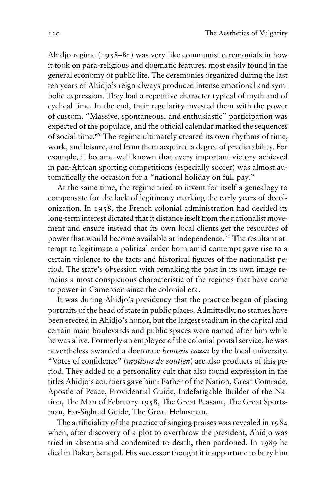Ahidjo regime  $(1958-82)$  was very like communist ceremonials in how it took on para-religious and dogmatic features, most easily found in the general economy of public life. The ceremonies organized during the last ten years of Ahidjo's reign always produced intense emotional and symbolic expression. They had a repetitive character typical of myth and of cyclical time. In the end, their regularity invested them with the power of custom. "Massive, spontaneous, and enthusiastic" participation was expected of the populace, and the official calendar marked the sequences of social time.<sup>69</sup> The regime ultimately created its own rhythms of time, work, and leisure, and from them acquired a degree of predictability. For example, it became well known that every important victory achieved in pan-African sporting competitions (especially soccer) was almost automatically the occasion for a "national holiday on full pay."

At the same time, the regime tried to invent for itself a genealogy to compensate for the lack of legitimacy marking the early years of decolonization. In 1958, the French colonial administration had decided its long-term interest dictated that it distance itself from the nationalist movement and ensure instead that its own local clients get the resources of power that would become available at independence.<sup>70</sup> The resultant attempt to legitimate a political order born amid contempt gave rise to a certain violence to the facts and historical figures of the nationalist period. The state's obsession with remaking the past in its own image remains a most conspicuous characteristic of the regimes that have come to power in Cameroon since the colonial era.

It was during Ahidjo's presidency that the practice began of placing portraits of the head of state in public places. Admittedly, no statues have been erected in Ahidjo's honor, but the largest stadium in the capital and certain main boulevards and public spaces were named after him while he was alive. Formerly an employee of the colonial postal service, he was nevertheless awarded a doctorate *honoris causa* by the local university. "Votes of confidence" (*motions de soutien*) are also products of this period. They added to a personality cult that also found expression in the titles Ahidjo's courtiers gave him: Father of the Nation, Great Comrade, Apostle of Peace, Providential Guide, Indefatigable Builder of the Nation, The Man of February 1958, The Great Peasant, The Great Sportsman, Far-Sighted Guide, The Great Helmsman.

The artificiality of the practice of singing praises was revealed in 1984 when, after discovery of a plot to overthrow the president, Ahidjo was tried in absentia and condemned to death, then pardoned. In 1989 he died in Dakar, Senegal. His successor thought it inopportune to bury him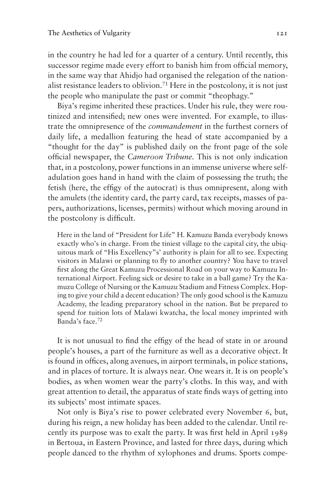in the country he had led for a quarter of a century. Until recently, this successor regime made every effort to banish him from official memory, in the same way that Ahidjo had organised the relegation of the nationalist resistance leaders to oblivion.<sup>71</sup> Here in the postcolony, it is not just the people who manipulate the past or commit "theophagy."

Biya's regime inherited these practices. Under his rule, they were routinized and intensified; new ones were invented. For example, to illustrate the omnipresence of the *commandement* in the furthest corners of daily life, a medallion featuring the head of state accompanied by a "thought for the day" is published daily on the front page of the sole official newspaper, the *Cameroon Tribune.* This is not only indication that, in a postcolony, power functions in an immense universe where selfadulation goes hand in hand with the claim of possessing the truth; the fetish (here, the effigy of the autocrat) is thus omnipresent, along with the amulets (the identity card, the party card, tax receipts, masses of papers, authorizations, licenses, permits) without which moving around in the postcolony is difficult.

Here in the land of "President for Life" H. Kamuzu Banda everybody knows exactly who's in charge. From the tiniest village to the capital city, the ubiquitous mark of "His Excellency"s' authority is plain for all to see. Expecting visitors in Malawi or planning to fly to another country? You have to travel first along the Great Kamuzu Processional Road on your way to Kamuzu International Airport. Feeling sick or desire to take in a ball game? Try the Kamuzu College of Nursing or the Kamuzu Stadium and Fitness Complex. Hoping to give your child a decent education? The only good school is the Kamuzu Academy, the leading preparatory school in the nation. But be prepared to spend for tuition lots of Malawi kwatcha, the local money imprinted with Banda's face.<sup>72</sup>

It is not unusual to find the effigy of the head of state in or around people's houses, a part of the furniture as well as a decorative object. It is found in offices, along avenues, in airport terminals, in police stations, and in places of torture. It is always near. One wears it. It is on people's bodies, as when women wear the party's cloths. In this way, and with great attention to detail, the apparatus of state finds ways of getting into its subjects' most intimate spaces.

Not only is Biya's rise to power celebrated every November 6, but, during his reign, a new holiday has been added to the calendar. Until recently its purpose was to exalt the party. It was first held in April 1989 in Bertoua, in Eastern Province, and lasted for three days, during which people danced to the rhythm of xylophones and drums. Sports compe-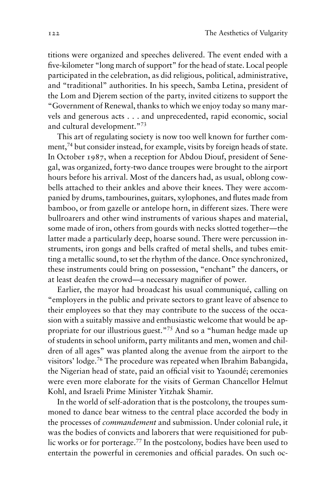titions were organized and speeches delivered. The event ended with a five-kilometer "long march of support" for the head of state. Local people participated in the celebration, as did religious, political, administrative, and "traditional" authorities. In his speech, Samba Letina, president of the Lom and Djerem section of the party, invited citizens to support the "Government of Renewal, thanks to which we enjoy today so many marvels and generous acts . . . and unprecedented, rapid economic, social and cultural development."<sup>73</sup>

This art of regulating society is now too well known for further comment,<sup>74</sup> but consider instead, for example, visits by foreign heads of state. In October 1987, when a reception for Abdou Diouf, president of Senegal, was organized, forty-two dance troupes were brought to the airport hours before his arrival. Most of the dancers had, as usual, oblong cowbells attached to their ankles and above their knees. They were accompanied by drums, tambourines, guitars, xylophones, and flutes made from bamboo, or from gazelle or antelope horn, in different sizes. There were bullroarers and other wind instruments of various shapes and material, some made of iron, others from gourds with necks slotted together—the latter made a particularly deep, hoarse sound. There were percussion instruments, iron gongs and bells crafted of metal shells, and tubes emitting a metallic sound, to set the rhythm of the dance. Once synchronized, these instruments could bring on possession, "enchant" the dancers, or at least deafen the crowd—a necessary magnifier of power.

Earlier, the mayor had broadcast his usual communiqué, calling on "employers in the public and private sectors to grant leave of absence to their employees so that they may contribute to the success of the occasion with a suitably massive and enthusiastic welcome that would be appropriate for our illustrious guest."<sup>75</sup> And so a "human hedge made up of students in school uniform, party militants and men, women and children of all ages" was planted along the avenue from the airport to the visitors' lodge.<sup>76</sup> The procedure was repeated when Ibrahim Babangida, the Nigerian head of state, paid an official visit to Yaoundé; ceremonies were even more elaborate for the visits of German Chancellor Helmut Kohl, and Israeli Prime Minister Yitzhak Shamir.

In the world of self-adoration that is the postcolony, the troupes summoned to dance bear witness to the central place accorded the body in the processes of *commandement* and submission. Under colonial rule, it was the bodies of convicts and laborers that were requisitioned for public works or for porterage.<sup>77</sup> In the postcolony, bodies have been used to entertain the powerful in ceremonies and official parades. On such oc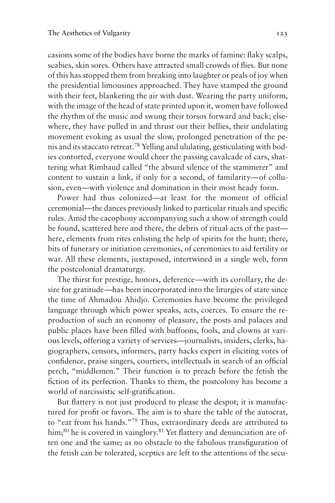casions some of the bodies have borne the marks of famine: flaky scalps, scabies, skin sores. Others have attracted small crowds of flies. But none of this has stopped them from breaking into laughter or peals of joy when the presidential limousines approached. They have stamped the ground with their feet, blanketing the air with dust. Wearing the party uniform, with the image of the head of state printed upon it, women have followed the rhythm of the music and swung their torsos forward and back; elsewhere, they have pulled in and thrust out their bellies, their undulating movement evoking as usual the slow, prolonged penetration of the penis and its staccato retreat.<sup>78</sup> Yelling and ululating, gesticulating with bodies contorted, everyone would cheer the passing cavalcade of cars, shattering what Rimbaud called "the absurd silence of the stammerer" and content to sustain a link, if only for a second, of familarity—of collusion, even—with violence and domination in their most heady form.

Power had thus colonized—at least for the moment of official ceremonial—the dances previously linked to particular rituals and specific rules. Amid the cacophony accompanying such a show of strength could be found, scattered here and there, the debris of ritual acts of the past here, elements from rites enlisting the help of spirits for the hunt; there, bits of funerary or initiation ceremonies, of ceremonies to aid fertility or war. All these elements, juxtaposed, intertwined in a single web, form the postcolonial dramaturgy.

The thirst for prestige, honors, deference—with its corollary, the desire for gratitude—has been incorporated into the liturgies of state since the time of Ahmadou Ahidjo. Ceremonies have become the privileged language through which power speaks, acts, coerces. To ensure the reproduction of such an economy of pleasure, the posts and palaces and public places have been filled with buffoons, fools, and clowns at various levels, offering a variety of services—journalists, insiders, clerks, hagiographers, censors, informers, party hacks expert in eliciting votes of confidence, praise singers, courtiers, intellectuals in search of an official perch, "middlemen." Their function is to preach before the fetish the fiction of its perfection. Thanks to them, the postcolony has become a world of narcissistic self-gratification.

But flattery is not just produced to please the despot; it is manufactured for profit or favors. The aim is to share the table of the autocrat, to "eat from his hands."<sup>79</sup> Thus, extraordinary deeds are attributed to him;<sup>80</sup> he is covered in vainglory.<sup>81</sup> Yet flattery and denunciation are often one and the same; as no obstacle to the fabulous transfiguration of the fetish can be tolerated, sceptics are left to the attentions of the secu-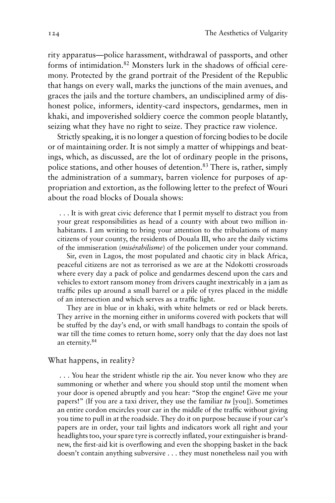rity apparatus—police harassment, withdrawal of passports, and other forms of intimidation.<sup>82</sup> Monsters lurk in the shadows of official ceremony. Protected by the grand portrait of the President of the Republic that hangs on every wall, marks the junctions of the main avenues, and graces the jails and the torture chambers, an undisciplined army of dishonest police, informers, identity-card inspectors, gendarmes, men in khaki, and impoverished soldiery coerce the common people blatantly, seizing what they have no right to seize. They practice raw violence.

Strictly speaking, it is no longer a question of forcing bodies to be docile or of maintaining order. It is not simply a matter of whippings and beatings, which, as discussed, are the lot of ordinary people in the prisons, police stations, and other houses of detention.<sup>83</sup> There is, rather, simply the administration of a summary, barren violence for purposes of appropriation and extortion, as the following letter to the prefect of Wouri about the road blocks of Douala shows:

. . . It is with great civic deference that I permit myself to distract you from your great responsibilities as head of a county with about two million inhabitants. I am writing to bring your attention to the tribulations of many citizens of your county, the residents of Douala III, who are the daily victims of the immiseration (*misérabilisme*) of the policemen under your command.

Sir, even in Lagos, the most populated and chaotic city in black Africa, peaceful citizens are not as terrorised as we are at the Ndokotti crossroads where every day a pack of police and gendarmes descend upon the cars and vehicles to extort ransom money from drivers caught inextricably in a jam as traffic piles up around a small barrel or a pile of tyres placed in the middle of an intersection and which serves as a traffic light.

They are in blue or in khaki, with white helmets or red or black berets. They arrive in the morning either in uniforms covered with pockets that will be stuffed by the day's end, or with small handbags to contain the spoils of war till the time comes to return home, sorry only that the day does not last an eternity.<sup>84</sup>

#### What happens, in reality?

. . . You hear the strident whistle rip the air. You never know who they are summoning or whether and where you should stop until the moment when your door is opened abruptly and you hear: "Stop the engine! Give me your papers!" (If you are a taxi driver, they use the familiar *tu* [you]). Sometimes an entire cordon encircles your car in the middle of the traffic without giving you time to pull in at the roadside. They do it on purpose because if your car's papers are in order, your tail lights and indicators work all right and your headlights too, your spare tyre is correctly inflated, your extinguisher is brandnew, the first-aid kit is overflowing and even the shopping basket in the back doesn't contain anything subversive . . . they must nonetheless nail you with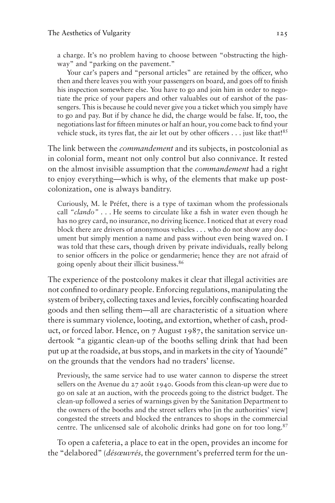a charge. It's no problem having to choose between "obstructing the highway" and "parking on the pavement."

Your car's papers and "personal articles" are retained by the officer, who then and there leaves you with your passengers on board, and goes off to finish his inspection somewhere else. You have to go and join him in order to negotiate the price of your papers and other valuables out of earshot of the passengers. This is because he could never give you a ticket which you simply have to go and pay. But if by chance he did, the charge would be false. If, too, the negotiations last for fifteen minutes or half an hour, you come back to find your vehicle stuck, its tyres flat, the air let out by other officers  $\dots$  just like that!<sup>85</sup>

The link between the *commandement* and its subjects, in postcolonial as in colonial form, meant not only control but also connivance. It rested on the almost invisible assumption that the *commandement* had a right to enjoy everything—which is why, of the elements that make up postcolonization, one is always banditry.

Curiously, M. le Préfet, there is a type of taximan whom the professionals call *"clando"* . . . He seems to circulate like a fish in water even though he has no grey card, no insurance, no driving licence. I noticed that at every road block there are drivers of anonymous vehicles . . . who do not show any document but simply mention a name and pass without even being waved on. I was told that these cars, though driven by private individuals, really belong to senior officers in the police or gendarmerie; hence they are not afraid of going openly about their illicit business.<sup>86</sup>

The experience of the postcolony makes it clear that illegal activities are not confined to ordinary people. Enforcing regulations, manipulating the system of bribery, collecting taxes and levies, forcibly confiscating hoarded goods and then selling them—all are characteristic of a situation where there is summary violence, looting, and extortion, whether of cash, product, or forced labor. Hence, on 7 August 1987, the sanitation service undertook "a gigantic clean-up of the booths selling drink that had been put up at the roadside, at bus stops, and in markets in the city of Yaoundé" on the grounds that the vendors had no traders' license.

Previously, the same service had to use water cannon to disperse the street sellers on the Avenue du 27 août 1940. Goods from this clean-up were due to go on sale at an auction, with the proceeds going to the district budget. The clean-up followed a series of warnings given by the Sanitation Department to the owners of the booths and the street sellers who [in the authorities' view] congested the streets and blocked the entrances to shops in the commercial centre. The unlicensed sale of alcoholic drinks had gone on for too long.<sup>87</sup>

To open a cafeteria, a place to eat in the open, provides an income for the "delabored" (*désœuvrés,* the government's preferred term for the un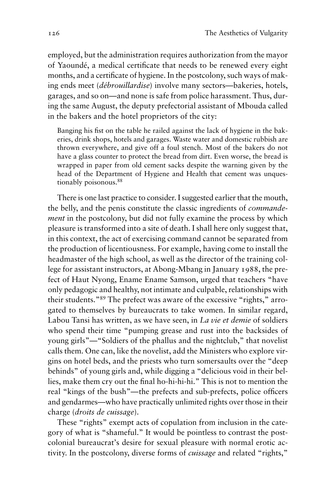employed, but the administration requires authorization from the mayor of Yaoundé, a medical certificate that needs to be renewed every eight months, and a certificate of hygiene. In the postcolony, such ways of making ends meet (*débrouillardise*) involve many sectors—bakeries, hotels, garages, and so on—and none is safe from police harassment. Thus, during the same August, the deputy prefectorial assistant of Mbouda called in the bakers and the hotel proprietors of the city:

Banging his fist on the table he railed against the lack of hygiene in the bakeries, drink shops, hotels and garages. Waste water and domestic rubbish are thrown everywhere, and give off a foul stench. Most of the bakers do not have a glass counter to protect the bread from dirt. Even worse, the bread is wrapped in paper from old cement sacks despite the warning given by the head of the Department of Hygiene and Health that cement was unquestionably poisonous.<sup>88</sup>

There is one last practice to consider. I suggested earlier that the mouth, the belly, and the penis constitute the classic ingredients of *commandement* in the postcolony, but did not fully examine the process by which pleasure is transformed into a site of death. I shall here only suggest that, in this context, the act of exercising command cannot be separated from the production of licentiousness. For example, having come to install the headmaster of the high school, as well as the director of the training college for assistant instructors, at Abong-Mbang in January 1988, the prefect of Haut Nyong, Ename Ename Samson, urged that teachers "have only pedagogic and healthy, not intimate and culpable, relationships with their students."<sup>89</sup> The prefect was aware of the excessive "rights," arrogated to themselves by bureaucrats to take women. In similar regard, Labou Tansi has written, as we have seen, in *La vie et demie* of soldiers who spend their time "pumping grease and rust into the backsides of young girls"—"Soldiers of the phallus and the nightclub," that novelist calls them. One can, like the novelist, add the Ministers who explore virgins on hotel beds, and the priests who turn somersaults over the "deep behinds" of young girls and, while digging a "delicious void in their bellies, make them cry out the final ho-hi-hi-hi." This is not to mention the real "kings of the bush"—the prefects and sub-prefects, police officers and gendarmes—who have practically unlimited rights over those in their charge (*droits de cuissage*).

These "rights" exempt acts of copulation from inclusion in the category of what is "shameful." It would be pointless to contrast the postcolonial bureaucrat's desire for sexual pleasure with normal erotic activity. In the postcolony, diverse forms of *cuissage* and related "rights,"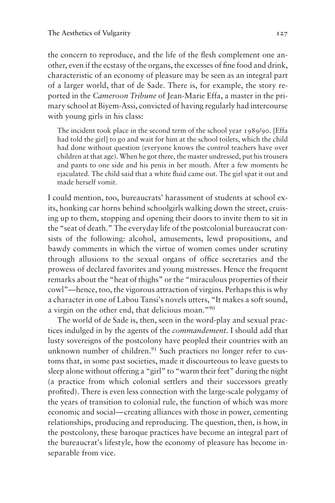the concern to reproduce, and the life of the flesh complement one another, even if the ecstasy of the organs, the excesses of fine food and drink, characteristic of an economy of pleasure may be seen as an integral part of a larger world, that of de Sade. There is, for example, the story reported in the *Cameroon Tribune* of Jean-Marie Effa, a master in the primary school at Biyem-Assi, convicted of having regularly had intercourse with young girls in his class:

The incident took place in the second term of the school year 1989/90. [Effa had told the girl] to go and wait for him at the school toilets, which the child had done without question (everyone knows the control teachers have over children at that age). When he got there, the master undressed, put his trousers and pants to one side and his penis in her mouth. After a few moments he ejaculated. The child said that a white fluid came out. The girl spat it out and made herself vomit.

I could mention, too, bureaucrats' harassment of students at school exits, honking car horns behind schoolgirls walking down the street, cruising up to them, stopping and opening their doors to invite them to sit in the "seat of death." The everyday life of the postcolonial bureaucrat consists of the following: alcohol, amusements, lewd propositions, and bawdy comments in which the virtue of women comes under scrutiny through allusions to the sexual organs of office secretaries and the prowess of declared favorites and young mistresses. Hence the frequent remarks about the "heat of thighs" or the "miraculous properties of their cowl"—hence, too, the vigorous attraction of virgins. Perhaps this is why a character in one of Labou Tansi's novels utters, "It makes a soft sound, a virgin on the other end, that delicious moan."<sup>90</sup>

The world of de Sade is, then, seen in the word-play and sexual practices indulged in by the agents of the *commandement.* I should add that lusty sovereigns of the postcolony have peopled their countries with an unknown number of children.<sup>91</sup> Such practices no longer refer to customs that, in some past societies, made it discourteous to leave guests to sleep alone without offering a "girl" to "warm their feet" during the night (a practice from which colonial settlers and their successors greatly profited). There is even less connection with the large-scale polygamy of the years of transition to colonial rule, the function of which was more economic and social—creating alliances with those in power, cementing relationships, producing and reproducing. The question, then, is how, in the postcolony, these baroque practices have become an integral part of the bureaucrat's lifestyle, how the economy of pleasure has become inseparable from vice.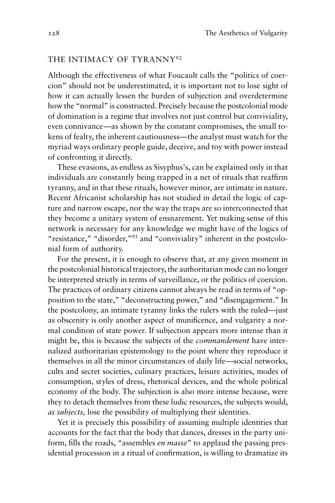## THE INTIMACY OF TYRANNY<sup>92</sup>

Although the effectiveness of what Foucault calls the "politics of coercion" should not be underestimated, it is important not to lose sight of how it can actually lessen the burden of subjection and overdetermine how the "normal" is constructed. Precisely because the postcolonial mode of domination is a regime that involves not just control but conviviality, even connivance—as shown by the constant compromises, the small tokens of fealty, the inherent cautiousness—the analyst must watch for the myriad ways ordinary people guide, deceive, and toy with power instead of confronting it directly.

These evasions, as endless as Sisyphus's, can be explained only in that individuals are constantly being trapped in a net of rituals that reaffirm tyranny, and in that these rituals, however minor, are intimate in nature. Recent Africanist scholarship has not studied in detail the logic of capture and narrow escape, nor the way the traps are so interconnected that they become a unitary system of ensnarement. Yet making sense of this network is necessary for any knowledge we might have of the logics of "resistance," "disorder,"<sup>93</sup> and "conviviality" inherent in the postcolonial form of authority.

For the present, it is enough to observe that, at any given moment in the postcolonial historical trajectory, the authoritarian mode can no longer be interpreted strictly in terms of surveillance, or the politics of coercion. The practices of ordinary citizens cannot always be read in terms of "opposition to the state," "deconstructing power," and "disengagement." In the postcolony, an intimate tyranny links the rulers with the ruled—just as obscenity is only another aspect of munificence, and vulgarity a normal condition of state power. If subjection appears more intense than it might be, this is because the subjects of the *commandement* have internalized authoritarian epistemology to the point where they reproduce it themselves in all the minor circumstances of daily life—social networks, cults and secret societies, culinary practices, leisure activities, modes of consumption, styles of dress, rhetorical devices, and the whole political economy of the body. The subjection is also more intense because, were they to detach themselves from these ludic resources, the subjects would, *as subjects,* lose the possibility of multiplying their identities.

Yet it is precisely this possibility of assuming multiple identities that accounts for the fact that the body that dances, dresses in the party uniform, fills the roads, "assembles *en masse*" to applaud the passing presidential procession in a ritual of confirmation, is willing to dramatize its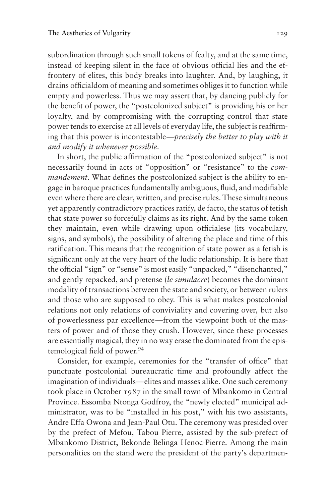subordination through such small tokens of fealty, and at the same time, instead of keeping silent in the face of obvious official lies and the effrontery of elites, this body breaks into laughter. And, by laughing, it drains officialdom of meaning and sometimes obliges it to function while empty and powerless. Thus we may assert that, by dancing publicly for the benefit of power, the "postcolonized subject" is providing his or her loyalty, and by compromising with the corrupting control that state power tends to exercise at all levels of everyday life, the subject is reaffirming that this power is incontestable—*precisely the better to play with it and modify it whenever possible.*

In short, the public affirmation of the "postcolonized subject" is not necessarily found in acts of "opposition" or "resistance" to the *commandement*. What defines the postcolonized subject is the ability to engage in baroque practices fundamentally ambiguous, fluid, and modifiable even where there are clear, written, and precise rules. These simultaneous yet apparently contradictory practices ratify, de facto, the status of fetish that state power so forcefully claims as its right. And by the same token they maintain, even while drawing upon officialese (its vocabulary, signs, and symbols), the possibility of altering the place and time of this ratification. This means that the recognition of state power as a fetish is significant only at the very heart of the ludic relationship. It is here that the official "sign" or "sense" is most easily "unpacked," "disenchanted," and gently repacked, and pretense (*le simulacre*) becomes the dominant modality of transactions between the state and society, or between rulers and those who are supposed to obey. This is what makes postcolonial relations not only relations of conviviality and covering over, but also of powerlessness par excellence—from the viewpoint both of the masters of power and of those they crush. However, since these processes are essentially magical, they in no way erase the dominated from the epistemological field of power.<sup>94</sup>

Consider, for example, ceremonies for the "transfer of office" that punctuate postcolonial bureaucratic time and profoundly affect the imagination of individuals—elites and masses alike. One such ceremony took place in October 1987 in the small town of Mbankomo in Central Province. Essomba Ntonga Godfroy, the "newly elected" municipal administrator, was to be "installed in his post," with his two assistants, Andre Effa Owona and Jean-Paul Otu. The ceremony was presided over by the prefect of Mefou, Tabou Pierre, assisted by the sub-prefect of Mbankomo District, Bekonde Belinga Henoc-Pierre. Among the main personalities on the stand were the president of the party's departmen-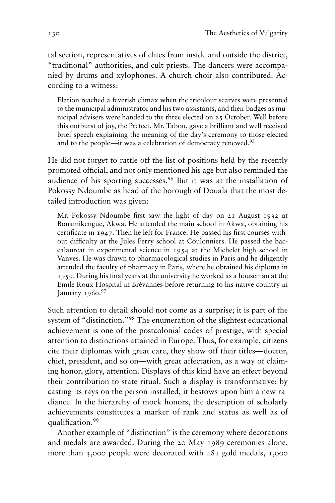tal section, representatives of elites from inside and outside the district, "traditional" authorities, and cult priests. The dancers were accompanied by drums and xylophones. A church choir also contributed. According to a witness:

Elation reached a feverish climax when the tricolour scarves were presented to the municipal administrator and his two assistants, and their badges as municipal advisers were handed to the three elected on 25 October. Well before this outburst of joy, the Prefect, Mr. Tabou, gave a brilliant and well received brief speech explaining the meaning of the day's ceremony to those elected and to the people—it was a celebration of democracy renewed.<sup>95</sup>

He did not forget to rattle off the list of positions held by the recently promoted official, and not only mentioned his age but also reminded the audience of his sporting successes.<sup>96</sup> But it was at the installation of Pokossy Ndoumbe as head of the borough of Douala that the most detailed introduction was given:

Mr. Pokossy Ndoumbe first saw the light of day on 21 August 1932 at Bonamikengue, Akwa. He attended the main school in Akwa, obtaining his certificate in 1947. Then he left for France. He passed his first courses without difficulty at the Jules Ferry school at Coulonniers. He passed the baccalaureat in experimental science in 1954 at the Michelet high school in Vanves. He was drawn to pharmacological studies in Paris and he diligently attended the faculty of pharmacy in Paris, where he obtained his diploma in 1959. During his final years at the university he worked as a houseman at the Emile Roux Hospital in Brévannes before returning to his native country in January 1960. $97$ 

Such attention to detail should not come as a surprise; it is part of the system of "distinction."<sup>98</sup> The enumeration of the slightest educational achievement is one of the postcolonial codes of prestige, with special attention to distinctions attained in Europe. Thus, for example, citizens cite their diplomas with great care, they show off their titles—doctor, chief, president, and so on—with great affectation, as a way of claiming honor, glory, attention. Displays of this kind have an effect beyond their contribution to state ritual. Such a display is transformative; by casting its rays on the person installed, it bestows upon him a new radiance. In the hierarchy of mock honors, the description of scholarly achievements constitutes a marker of rank and status as well as of qualification.<sup>99</sup>

Another example of "distinction" is the ceremony where decorations and medals are awarded. During the 20 May 1989 ceremonies alone, more than 3,000 people were decorated with 481 gold medals, 1,000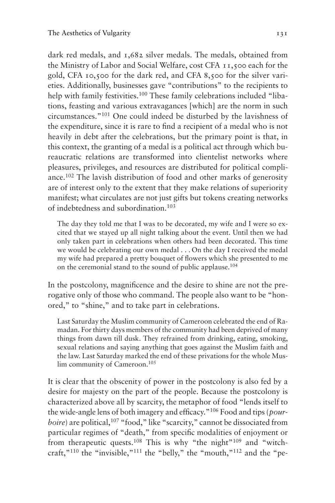dark red medals, and 1,682 silver medals. The medals, obtained from the Ministry of Labor and Social Welfare, cost CFA 11,500 each for the gold, CFA 10,500 for the dark red, and CFA 8,500 for the silver varieties. Additionally, businesses gave "contributions" to the recipients to help with family festivities.<sup>100</sup> These family celebrations included "libations, feasting and various extravagances [which] are the norm in such circumstances."<sup>101</sup> One could indeed be disturbed by the lavishness of the expenditure, since it is rare to find a recipient of a medal who is not heavily in debt after the celebrations, but the primary point is that, in this context, the granting of a medal is a political act through which bureaucratic relations are transformed into clientelist networks where pleasures, privileges, and resources are distributed for political compliance.<sup>102</sup> The lavish distribution of food and other marks of generosity are of interest only to the extent that they make relations of superiority manifest; what circulates are not just gifts but tokens creating networks of indebtedness and subordination.<sup>103</sup>

The day they told me that I was to be decorated, my wife and I were so excited that we stayed up all night talking about the event. Until then we had only taken part in celebrations when others had been decorated. This time we would be celebrating our own medal . . . On the day I received the medal my wife had prepared a pretty bouquet of flowers which she presented to me on the ceremonial stand to the sound of public applause.<sup>104</sup>

In the postcolony, magnificence and the desire to shine are not the prerogative only of those who command. The people also want to be "honored," to "shine," and to take part in celebrations.

Last Saturday the Muslim community of Cameroon celebrated the end of Ramadan. For thirty days members of the community had been deprived of many things from dawn till dusk. They refrained from drinking, eating, smoking, sexual relations and saying anything that goes against the Muslim faith and the law. Last Saturday marked the end of these privations for the whole Muslim community of Cameroon.<sup>105</sup>

It is clear that the obscenity of power in the postcolony is also fed by a desire for majesty on the part of the people. Because the postcolony is characterized above all by scarcity, the metaphor of food "lends itself to the wide-angle lens of both imagery and efficacy."<sup>106</sup> Food and tips (*pourboire*) are political,<sup>107</sup> "food," like "scarcity," cannot be dissociated from particular regimes of "death," from specific modalities of enjoyment or from therapeutic quests.<sup>108</sup> This is why "the night"<sup>109</sup> and "witchcraft,"<sup>110</sup> the "invisible,"<sup>111</sup> the "belly," the "mouth,"<sup>112</sup> and the "pe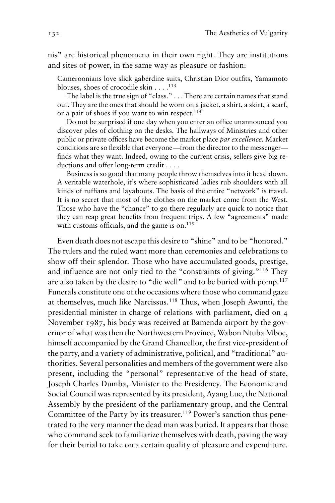nis" are historical phenomena in their own right. They are institutions and sites of power, in the same way as pleasure or fashion:

Cameroonians love slick gaberdine suits, Christian Dior outfits, Yamamoto blouses, shoes of crocodile skin . . . .<sup>113</sup>

The label is the true sign of "class." . . . There are certain names that stand out. They are the ones that should be worn on a jacket, a shirt, a skirt, a scarf, or a pair of shoes if you want to win respect.<sup>114</sup>

Do not be surprised if one day when you enter an office unannounced you discover piles of clothing on the desks. The hallways of Ministries and other public or private offices have become the market place *par excellence.* Market conditions are so flexible that everyone—from the director to the messenger finds what they want. Indeed, owing to the current crisis, sellers give big reductions and offer long-term credit . . . .

Business is so good that many people throw themselves into it head down. A veritable waterhole, it's where sophisticated ladies rub shoulders with all kinds of ruffians and layabouts. The basis of the entire "network" is travel. It is no secret that most of the clothes on the market come from the West. Those who have the "chance" to go there regularly are quick to notice that they can reap great benefits from frequent trips. A few "agreements" made with customs officials, and the game is on.<sup>115</sup>

Even death does not escape this desire to "shine" and to be "honored." The rulers and the ruled want more than ceremonies and celebrations to show off their splendor. Those who have accumulated goods, prestige, and influence are not only tied to the "constraints of giving."<sup>116</sup> They are also taken by the desire to "die well" and to be buried with pomp.<sup>117</sup> Funerals constitute one of the occasions where those who command gaze at themselves, much like Narcissus.<sup>118</sup> Thus, when Joseph Awunti, the presidential minister in charge of relations with parliament, died on 4 November 1987, his body was received at Bamenda airport by the governor of what was then the Northwestern Province, Wabon Ntuba Mboe, himself accompanied by the Grand Chancellor, the first vice-president of the party, and a variety of administrative, political, and "traditional" authorities. Several personalities and members of the government were also present, including the "personal" representative of the head of state, Joseph Charles Dumba, Minister to the Presidency. The Economic and Social Council was represented by its president, Ayang Luc, the National Assembly by the president of the parliamentary group, and the Central Committee of the Party by its treasurer.<sup>119</sup> Power's sanction thus penetrated to the very manner the dead man was buried. It appears that those who command seek to familiarize themselves with death, paving the way for their burial to take on a certain quality of pleasure and expenditure.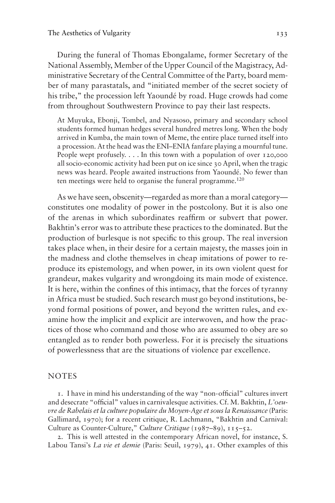During the funeral of Thomas Ebongalame, former Secretary of the National Assembly, Member of the Upper Council of the Magistracy, Administrative Secretary of the Central Committee of the Party, board member of many parastatals, and "initiated member of the secret society of his tribe," the procession left Yaoundé by road. Huge crowds had come from throughout Southwestern Province to pay their last respects.

At Muyuka, Ebonji, Tombel, and Nyasoso, primary and secondary school students formed human hedges several hundred metres long. When the body arrived in Kumba, the main town of Meme, the entire place turned itself into a procession. At the head was the ENI–ENIA fanfare playing a mournful tune. People wept profusely. . . . In this town with a population of over 120,000 all socio-economic activity had been put on ice since 30 April, when the tragic news was heard. People awaited instructions from Yaoundé. No fewer than ten meetings were held to organise the funeral programme.<sup>120</sup>

As we have seen, obscenity—regarded as more than a moral category constitutes one modality of power in the postcolony. But it is also one of the arenas in which subordinates reaffirm or subvert that power. Bakhtin's error was to attribute these practices to the dominated. But the production of burlesque is not specific to this group. The real inversion takes place when, in their desire for a certain majesty, the masses join in the madness and clothe themselves in cheap imitations of power to reproduce its epistemology, and when power, in its own violent quest for grandeur, makes vulgarity and wrongdoing its main mode of existence. It is here, within the confines of this intimacy, that the forces of tyranny in Africa must be studied. Such research must go beyond institutions, beyond formal positions of power, and beyond the written rules, and examine how the implicit and explicit are interwoven, and how the practices of those who command and those who are assumed to obey are so entangled as to render both powerless. For it is precisely the situations of powerlessness that are the situations of violence par excellence.

## **NOTES**

1.I have in mind his understanding of the way "non-official" cultures invert and desecrate "official" values in carnivalesque activities. Cf. M. Bakhtin, *L'oeuvre de Rabelais et la culture populaire du Moyen-Age et sous la Renaissance* (Paris: Gallimard, 1970); for a recent critique, R. Lachmann, "Bakhtin and Carnival: Culture as Counter-Culture," *Culture Critique* (1987–89), 115–52.

2.This is well attested in the contemporary African novel, for instance, S. Labou Tansi's *La vie et demie* (Paris: Seuil, 1979), 41. Other examples of this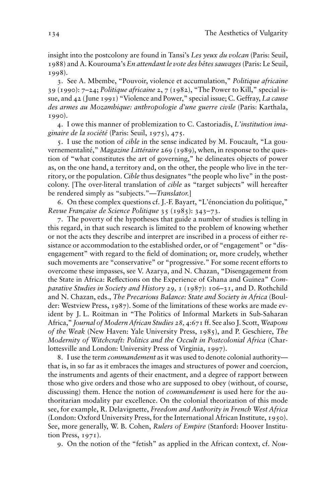insight into the postcolony are found in Tansi's *Les yeux du volcan* (Paris: Seuil, 1988) and A. Kourouma's *En attendant le vote des bêtes sauvages*(Paris: Le Seuil, 1998).

3.See A. Mbembe, "Pouvoir, violence et accumulation," *Politique africaine* 39 (1990): 7–24; *Politique africaine* 2, 7 (1982), "The Power to Kill," special issue, and 42 (June 1991) "Violence and Power," special issue; C. Geffray, *La cause des armes au Mozambique: anthropologie d'une guerre civile* (Paris: Karthala, 1990).

4.I owe this manner of problemization to C. Castoriadis, *L'institution imaginaire de la société* (Paris: Seuil, 1975), 475.

5.I use the notion of *cible* in the sense indicated by M. Foucault, "La gouvernementalité," *Magazine Littéraire* 269 (1989), when, in response to the question of "what constitutes the art of governing," he delineates objects of power as, on the one hand, a territory and, on the other, the people who live in the territory, or the population. *Cible* thus designates "the people who live" in the postcolony. [The over-literal translation of *cible* as "target subjects" will hereafter be rendered simply as "subjects."—*Translator.*]

6. On these complex questions cf. J.-F. Bayart, "L'énonciation du politique," *Revue Française de Science Politique* 35 (1985): 343–73.

7.The poverty of the hypotheses that guide a number of studies is telling in this regard, in that such research is limited to the problem of knowing whether or not the acts they describe and interpret are inscribed in a process of either resistance or accommodation to the established order, or of "engagement" or "disengagement" with regard to the field of domination; or, more crudely, whether such movements are "conservative" or "progressive." For some recent efforts to overcome these impasses, see V. Azarya, and N. Chazan, "Disengagement from the State in Africa: Reflections on the Experience of Ghana and Guinea" *Comparative Studies in Society and History 29,* 1 (1987): 106–31, and D. Rothchild and N. Chazan, eds., *The Precarious Balance: State and Society in Africa* (Boulder: Westview Press, 1987). Some of the limitations of these works are made evident by J.L. Roitman in "The Politics of Informal Markets in Sub-Saharan Africa," *Journal of Modern African Studies 28,* 4:671 ff. See also J. Scott, *Weapons of the Weak* (New Haven: Yale University Press, 1985), and P. Geschiere, *The Modernity of Witchcraft: Politics and the Occult in Postcolonial Africa* (Charlottesville and London: University Press of Virginia, 1997).

8.I use the term *commandement* as it was used to denote colonial authority that is, in so far as it embraces the images and structures of power and coercion, the instruments and agents of their enactment, and a degree of rapport between those who give orders and those who are supposed to obey (without, of course, discussing) them. Hence the notion of *commandement* is used here for the authoritarian modality par excellence. On the colonial theorization of this mode see, for example, R. Delavignette, *Freedom and Authority in French West Africa* (London: Oxford University Press, for the International African Institute, 1950). See, more generally, W.B. Cohen, *Rulers of Empire* (Stanford: Hoover Institution Press, 1971).

9.On the notion of the "fetish" as applied in the African context, cf. *Nou-*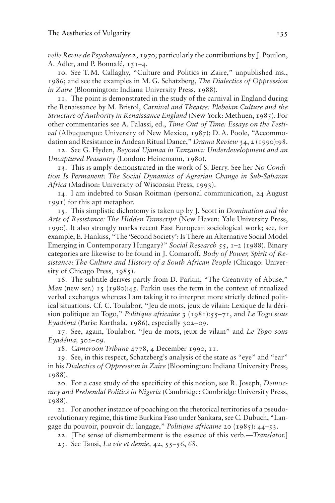*velle Revue de Psychanalyse* 2, 1970; particularly the contributions by J. Pouilon, A. Adler, and P. Bonnafé, 131–4.

10. See T. M. Callaghy, "Culture and Politics in Zaire," unpublished ms., 1986; and see the examples in M.G. Schatzberg, *The Dialectics of Oppression in Zaire* (Bloomington: Indiana University Press, 1988).

 $11.$  The point is demonstrated in the study of the carnival in England during the Renaissance by M. Bristol, *Carnival and Theatre: Plebeian Culture and the Structure of Authority in Renaissance England* (New York: Methuen, 1985). For other commentaries see A. Falassi, ed., *Time Out of Time: Essays on the Festival* (Albuquerque: University of New Mexico, 1987); D.A. Poole, "Accommodation and Resistance in Andean Ritual Dance," *Drama Review* 34, 2 (1990):98.

12.See G. Hyden, *Beyond Ujamaa in Tanzania: Underdevelopment and an Uncaptured Peasantry* (London: Heinemann, 1980).

13. This is amply demonstrated in the work of S. Berry. See her *No Condition Is Permanent: The Social Dynamics of Agrarian Change in Sub-Saharan Africa* (Madison: University of Wisconsin Press, 1993).

14.I am indebted to Susan Roitman (personal communication, 24 August 1991) for this apt metaphor.

15.This simplistic dichotomy is taken up by J. Scott in *Domination and the Arts of Resistance: The Hidden Transcript* (New Haven: Yale University Press, 1990). It also strongly marks recent East European sociological work; see, for example, E. Hankiss, "The 'Second Society': Is There an Alternative Social Model Emerging in Contemporary Hungary?" *Social Research* 55, 1–2 (1988). Binary categories are likewise to be found in J. Comaroff, *Body of Power, Spirit of Resistance: The Culture and History of a South African People* (Chicago: University of Chicago Press, 1985).

16.The subtitle derives partly from D. Parkin, "The Creativity of Abuse," *Man* (new ser.) 15 (1980):45. Parkin uses the term in the context of ritualized verbal exchanges whereas I am taking it to interpret more strictly defined political situations. Cf. C. Toulabor, "Jeu de mots, jeux de vilain: Lexique de la dérision politique au Togo," *Politique africaine* 3 (1981):55–71, and *Le Togo sous Eyadéma* (Paris: Karthala, 1986), especially 302–09.

17.See, again, Toulabor, "Jeu de mots, jeux de vilain" and *Le Togo sous Eyadéma,* 302–09.

18. *Cameroon Tribune* 4778, 4 December 1990, 11.

19.See, in this respect, Schatzberg's analysis of the state as "eye" and "ear" in his *Dialectics of Oppression in Zaire* (Bloomington: Indiana University Press, 1988).

20.For a case study of the specificity of this notion, see R. Joseph, *Democracy and Prebendal Politics in Nigeria* (Cambridge: Cambridge University Press, 1988).

21.For another instance of poaching on the rhetorical territories of a pseudorevolutionary regime, this time Burkina Faso under Sankara, see C. Dubuch, "Langage du pouvoir, pouvoir du langage," *Politique africaine* 20 (1985): 44–53.

22.[The sense of dismemberment is the essence of this verb.—*Translator.*]

23.See Tansi, *La vie et demie,* 42, 55–56, 68.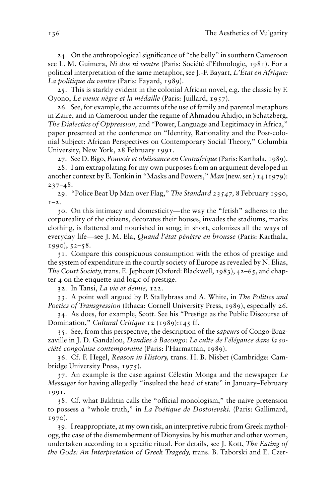24.On the anthropological significance of "the belly" in southern Cameroon see L.M. Guimera, *Ni dos ni ventre* (Paris: Société d'Ethnologie, 1981). For a political interpretation of the same metaphor, see J.-F. Bayart, *L'État en Afrique: La politique du ventre* (Paris: Fayard, 1989).

25. This is starkly evident in the colonial African novel, e.g. the classic by F. Oyono, *Le vieux nègre et la médaille* (Paris: Juillard, 1957).

26.See, for example, the accounts of the use of family and parental metaphors in Zaire, and in Cameroon under the regime of Ahmadou Ahidjo, in Schatzberg, *The Dialectics of Oppression,* and "Power, Language and Legitimacy in Africa," paper presented at the conference on "Identity, Rationality and the Post-colonial Subject: African Perspectives on Contemporary Social Theory," Columbia University, New York, 28 February 1991.

27.See D. Bigo, *Pouvoir et obéissance en Centrafrique* (Paris: Karthala, 1989).

28.I am extrapolating for my own purposes from an argument developed in another context by E. Tonkin in "Masks and Powers," *Man* (new. ser.) 14 (1979):  $237 - 48.$ 

29."Police Beat Up Man over Flag," *The Standard 23547,* 8 February 1990,  $1 - 2.$ 

30.On this intimacy and domesticity—the way the "fetish" adheres to the corporeality of the citizens, decorates their houses, invades the stadiums, marks clothing, is flattered and nourished in song; in short, colonizes all the ways of everyday life—see J.M. Ela, *Quand l'état pénètre en brousse* (Paris: Karthala,  $1990, 52 - 58.$ 

31.Compare this conspicuous consumption with the ethos of prestige and the system of expenditure in the courtly society of Europe as revealed by N. Elias, *The Court Society,* trans. E. Jephcott (Oxford: Blackwell, 1983), 42–65, and chapter 4 on the etiquette and logic of prestige.

32.In Tansi, *La vie et demie,* 122.

33. A point well argued by P. Stallybrass and A. White, in *The Politics and Poetics of Transgression* (Ithaca: Cornell University Press, 1989), especially 26.

34.As does, for example, Scott. See his "Prestige as the Public Discourse of Domination," *Cultural Critique* 12 (1989):145 ff.

35.See, from this perspective, the description of the *sapeurs* of Congo-Brazzaville in J.D. Gandalou, *Dandies à Bacongo: Le culte de l'élégance dans la société congolaise contemporaine* (Paris: l'Harmattan, 1989).

36.Cf. F. Hegel, *Reason in History,* trans. H. B. Nisbet (Cambridge: Cambridge University Press, 1975).

37.An example is the case against Célestin Monga and the newspaper *Le Messager* for having allegedly "insulted the head of state" in January–February 1991.

38.Cf. what Bakhtin calls the "official monologism," the naive pretension to possess a "whole truth," in *La Poétique de Dostoievski.* (Paris: Gallimard, 1970).

39.I reappropriate, at my own risk, an interpretive rubric from Greek mythology, the case of the dismemberment of Dionysius by his mother and other women, undertaken according to a specific ritual. For details, see J. Kott, *The Eating of the Gods: An Interpretation of Greek Tragedy,* trans. B. Taborski and E. Czer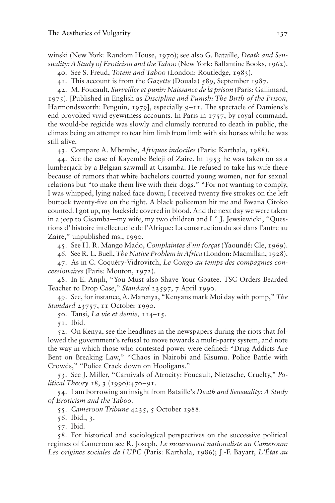winski (New York: Random House, 1970); see also G. Bataille, *Death and Sensuality: A Study of Eroticism and the Taboo* (New York: Ballantine Books, 1962).

40.See S. Freud, *Totem and Taboo* (London: Routledge, 1983).

41.This account is from the *Gazette* (Douala) 589, September 1987.

42.M. Foucault, *Surveiller et punir: Naissance de la prison* (Paris: Gallimard, 1975). [Published in English as *Discipline and Punish: The Birth of the Prison,* Harmondsworth: Penguin, 1979], especially 9–11. The spectacle of Damiens's end provoked vivid eyewitness accounts. In Paris in 1757, by royal command, the would-be regicide was slowly and clumsily tortured to death in public, the climax being an attempt to tear him limb from limb with six horses while he was still alive.

43.Compare A. Mbembe, *Afriques indociles* (Paris: Karthala, 1988).

44.See the case of Kayembe Beleji of Zaire. In 1953 he was taken on as a lumberjack by a Belgian sawmill at Cisamba. He refused to take his wife there because of rumors that white bachelors courted young women, not for sexual relations but "to make them live with their dogs." "For not wanting to comply, I was whipped, lying naked face down; I received twenty five strokes on the left buttock twenty-five on the right. A black policeman hit me and Bwana Citoko counted. I got up, my backside covered in blood. And the next day we were taken in a jeep to Cisamba—my wife, my two children and I." J. Jewsiewicki, "Questions d' histoire intellectuelle de l'Afrique: La construction du soi dans l'autre au Zaire," unpublished ms., 1990.

45.See H.R. Mango Mado, *Complaintes d'un forçat* (Yaoundé: Cle, 1969).

46.See R.L. Buell, *The Native Problem in Africa* (London: Macmillan, 1928).

47.As in C. Coquéry-Vidrovitch, *Le Congo au temps des compagnies concessionaires* (Paris: Mouton, 1972).

48.In E. Anjili, "You Must also Shave Your Goatee. TSC Orders Bearded Teacher to Drop Case," *Standard* 23597, 7 April 1990.

49.See, for instance, A. Marenya, "Kenyans mark Moi day with pomp," *The Standard* 23757, 11 October 1990.

50.Tansi, *La vie et demie,* 114–15.

51.Ibid.

52.On Kenya, see the headlines in the newspapers during the riots that followed the government's refusal to move towards a multi-party system, and note the way in which those who contested power were defined: "Drug Addicts Are Bent on Breaking Law," "Chaos in Nairobi and Kisumu. Police Battle with Crowds," "Police Crack down on Hooligans."

53. See J. Miller, "Carnivals of Atrocity: Foucault, Nietzsche, Cruelty," Po*litical Theory* 18, 3 (1990):470–91.

54.I am borrowing an insight from Bataille's *Death and Sensuality: A Study of Eroticism and the Taboo.*

55. *Cameroon Tribune* 4235, 5 October 1988.

56.Ibid., 3.

57.Ibid.

58.For historical and sociological perspectives on the successive political regimes of Cameroon see R. Joseph, *Le mouvement nationaliste au Cameroun: Les origines sociales de l'UPC* (Paris: Karthala, 1986); J.-F. Bayart, *L'État au*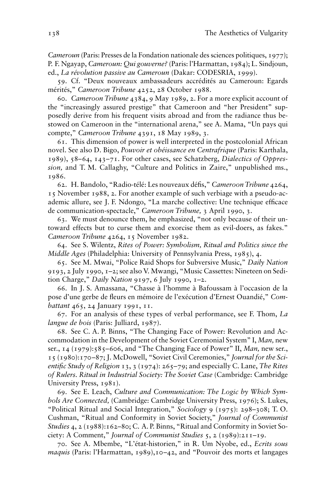*Cameroun* (Paris: Presses de la Fondation nationale des sciences politiques, 1977); P.F. Ngayap, *Cameroun: Qui gouverne?* (Paris: l'Harmattan, 1984); L. Sindjoun, ed., *La révolution passive au Cameroun* (Dakar: CODESRIA, 1999).

59.Cf. "Deux nouveaux ambassadeurs accrédités au Cameroun: Egards mérités," *Cameroon Tribune* 4252, 28 October 1988.

60. *Cameroon Tribune* 4384, 9 May 1989, 2. For a more explicit account of the "increasingly assured prestige" that Cameroon and "her President" supposedly derive from his frequent visits abroad and from the radiance thus bestowed on Cameroon in the "international arena," see A. Mama, "Un pays qui compte," *Cameroon Tribune* 4391, 18 May 1989, 3.

61.This dimension of power is well interpreted in the postcolonial African novel. See also D. Bigo, *Pouvoir et obéissance en Centrafrique* (Paris: Karthala, 1989), 58–64, 143–71. For other cases, see Schatzberg, *Dialectics of Oppression,* and T.M. Callaghy, "Culture and Politics in Zaire," unpublished ms., 1986.

62.H. Bandolo, "Radio-télé: Les nouveaux défis," *Cameroon Tribune* 4264, 15 November 1988, 2. For another example of such verbiage with a pseudo-academic allure, see J.F. Ndongo, "La marche collective: Une technique efficace de communication-spectacle," *Cameroon Tribune,* 3 April 1990, 3.

63.We must denounce them, he emphasized, "not only because of their untoward effects but to curse them and exorcise them as evil-doers, as fakes." *Cameroon Tribune* 4264, 15 November 1982.

64.See S. Wilentz, *Rites of Power: Symbolism, Ritual and Politics since the Middle Ages* (Philadelphia: University of Pennsylvania Press, 1985), 4.

65.See M. Mwai, "Police Raid Shops for Subversive Music," *Daily Nation* 9193, 2 July 1990, 1–2; see also V. Mwangi, "Music Cassettes: Nineteen on Sedition Charge," *Daily Nation* 9197, 6 July 1990, 1–2.

66.In J.S. Amassana, "Chasse à l'homme à Bafoussam à l'occasion de la pose d'une gerbe de fleurs en mémoire de l'exécution d'Ernest Ouandié," *Combattant* 465, 24 January 1991, 11.

67.For an analysis of these types of verbal performance, see F. Thom, *La langue de bois* (Paris: Julliard, 1987).

68. See C.A.P. Binns, "The Changing Face of Power: Revolution and Accommodation in the Development of the Soviet Ceremonial System" I, *Man,* new ser., 14 (1979):585–606, and "The Changing Face of Power" II, *Man,* new ser., 15 (1980):170–87; J. McDowell, "Soviet Civil Ceremonies," *Journal for the Scientific Study of Religion* 13, 3 (1974): 265–79; and especially C. Lane, *The Rites of Rulers. Ritual in Industrial Society: The Soviet Case* (Cambridge: Cambridge University Press, 1981).

69.See E. Leach, *Culture and Communication: The Logic by Which Symbols Are Connected,* (Cambridge: Cambridge University Press, 1976); S. Lukes, "Political Ritual and Social Integration," *Sociology* 9 (1975): 298–308; T.O. Cushman, "Ritual and Conformity in Soviet Society," *Journal of Communist Studies* 4, 2 (1988):162–80; C.A.P. Binns, "Ritual and Conformity in Soviet Society: A Comment," *Journal of Communist Studies* 5, 2 (1989):211–19.

70. See A. Mbembe, "L'état-historien," in R. Um Nyobe, ed., *Ecrits sous maquis* (Paris: l'Harmattan, 1989),10–42, and "Pouvoir des morts et langages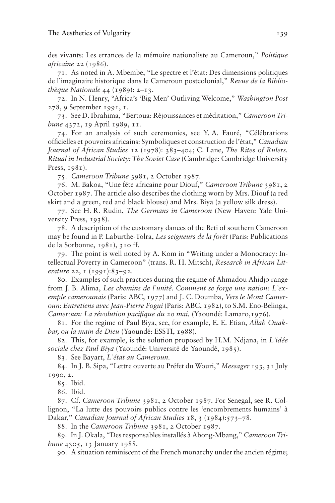des vivants: Les errances de la mémoire nationaliste au Cameroun," *Politique africaine* 22 (1986).

71.As noted in A. Mbembe, "Le spectre et l'état: Des dimensions politiques de l'imaginaire historique dans le Cameroun postcolonial," *Revue de la Bibliothèque Nationale* 44 (1989): 2–13.

72.In N. Henry, "Africa's 'Big Men' Outliving Welcome," *Washington Post* 278, 9 September 1991, 1.

73.See D. Ibrahima, "Bertoua: Réjouissances et méditation," *Cameroon Tribune* 4372, 19 April 1989, 11.

74.For an analysis of such ceremonies, see Y.A. Fauré, "Célébrations officielles et pouvoirs africains: Symboliques et construction de l'état," *Canadian Journal of African Studies* 12 (1978): 383–404; C. Lane, *The Rites of Rulers. Ritual in Industrial Society: The Soviet Case* (Cambridge: Cambridge University Press, 1981).

75. *Cameroon Tribune* 3981, 2 October 1987.

76.M. Bakoa, "Une fête africaine pour Diouf," *Cameroon Tribune* 3981, 2 October 1987. The article also describes the clothing worn by Mrs. Diouf (a red skirt and a green, red and black blouse) and Mrs. Biya (a yellow silk dress).

77.See H.R. Rudin, *The Germans in Cameroon* (New Haven: Yale University Press, 1938).

78.A description of the customary dances of the Beti of southern Cameroon may be found in P. Laburthe-Tolra, *Les seigneurs de la forêt* (Paris: Publications de la Sorbonne, 1981), 310 ff.

79.The point is well noted by A. Kom in "Writing under a Monocracy: Intellectual Poverty in Cameroon" (trans. R. H. Mitsch), *Research in African Literature* 22, 1 (1991):83–92.

80.Examples of such practices during the regime of Ahmadou Ahidjo range from J.B. Alima, *Les chemins de l'unité. Comment se forge une nation: L'exemple camerounais* (Paris: ABC, 1977) and J.C. Doumba, *Vers le Mont Cameroun: Entretiens avec Jean-Pierre Fogui* (Paris: ABC, 1982), to S.M. Eno-Belinga, *Cameroun: La révolution pacifique du 20 mai,* (Yaoundé: Lamaro,1976).

81.For the regime of Paul Biya, see, for example, E.E. Etian, *Allah Ouakbar, ou la main de Dieu* (Yaoundé: ESSTI, 1988).

82. This, for example, is the solution proposed by H.M. Ndjana, in *L'idée sociale chez Paul Biya* (Yaoundé: Université de Yaoundé, 1985).

83.See Bayart, *L'état au Cameroun.*

84.In J.B. Sipa, "Lettre ouverte au Préfet du Wouri," *Messager* 193, 31 July 1990, 2.

85.Ibid.

86.Ibid.

87.Cf. *Cameroon Tribune* 3981, 2 October 1987. For Senegal, see R. Collignon, "La lutte des pouvoirs publics contre les 'encombrements humains' à Dakar," *Canadian Journal of African Studies* 18, 3 (1984):573–78.

88.In the *Cameroon Tribune* 3981, 2 October 1987.

89.In J. Okala, "Des responsables installés à Abong-Mbang," *Cameroon Tribune* 4305, 13 January 1988.

90.A situation reminiscent of the French monarchy under the ancien régime;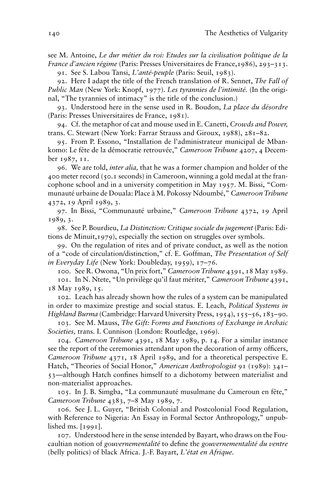see M. Antoine, *Le dur métier du roi: Etudes sur la civilisation politique de la France d'ancien régime* (Paris: Presses Universitaires de France,1986), 293–313. 91.See S. Labou Tansi, *L'anté-peuple* (Paris: Seuil, 1983).

92.Here I adapt the title of the French translation of R. Sennet, *The Fall of Public Man* (New York: Knopf, 1977). *Les tyrannies de l'intimité.* (In the original, "The tyrannies of intimacy" is the title of the conclusion.)

93.Understood here in the sense used in R. Boudon, *La place du désordre* (Paris: Presses Universitaires de France, 1981).

94. Cf. the metaphor of cat and mouse used in E. Canetti, *Crowds and Power,* trans. C. Stewart (New York: Farrar Strauss and Giroux, 1988), 281–82.

95.From P. Essono, "Installation de l'administrateur municipal de Mbankomo: Le fête de la démocratie retrouvée," *Cameroon Tribune* 4207, 4 December 1987, 11.

96.We are told, *inter alia,* that he was a former champion and holder of the 400 meter record (50.1 seconds) in Cameroon, winning a gold medal at the francophone school and in a university competition in May 1957. M. Bissi, "Communauté urbaine de Douala: Place à M. Pokossy Ndoumbé," *Cameroon Tribune* 4372, 19 April 1989, 3.

97.In Bissi, "Communauté urbaine," *Cameroon Tribune* 4372, 19 April 1989, 3.

98.See P. Bourdieu, *La Distinction: Critique sociale du jugement* (Paris: Editions de Minuit,1979), especially the section on struggles over symbols.

99.On the regulation of rites and of private conduct, as well as the notion of a "code of circulation/distinction," cf. E. Goffman, *The Presentation of Self in Everyday Life* (New York: Doubleday, 1959), 17–76.

100. See R. Owona, "Un prix fort," Cameroon Tribune 4391, 18 May 1989.

101.In N. Ntete, "Un privilège qu'il faut mériter," *Cameroon Tribune* 4391, 18 May 1989, 15.

102.Leach has already shown how the rules of a system can be manipulated in order to maximize prestige and social status. E. Leach, *Political Systems in Highland Burma* (Cambridge: Harvard University Press, 1954), 155–56, 183–90.

103.See M. Mauss, *The Gift: Forms and Functions of Exchange in Archaic Societies,* trans. I. Cunnison (London: Routledge, 1969).

104. *Cameroon Tribune* 4391, 18 May 1989, p. 14. For a similar instance see the report of the ceremonies attendant upon the decoration of army officers, *Cameroon Tribune* 4371, 18 April 1989, and for a theoretical perspective E. Hatch, "Theories of Social Honor," *American Anthropologist* 91 (1989): 341– 53—although Hatch confines himself to a dichotomy between materialist and non-materialist approaches.

105.In J.B. Simgba, "La communauté musulmane du Cameroun en fête," *Cameroon Tribune* 4383, 7–8 May 1989, 7.

106. See J. L. Guyer, "British Colonial and Postcolonial Food Regulation, with Reference to Nigeria: An Essay in Formal Sector Anthropology," unpublished ms. [1991].

107.Understood here in the sense intended by Bayart, who draws on the Foucaultian notion of *gouvernementalité* to define the *gouvernementalité du ventre* (belly politics) of black Africa. J.-F. Bayart, *L'état en Afrique.*